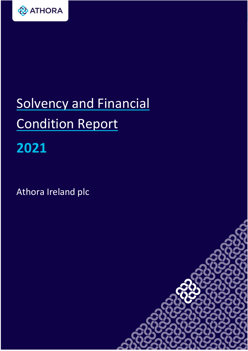

# Solvency and Financial Condition Report **2021**

Athora Ireland plc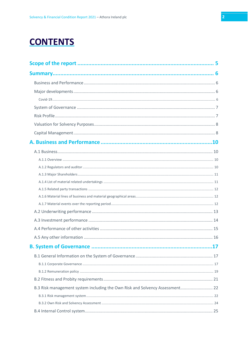# **CONTENTS**

| B.3 Risk management system including the Own Risk and Solvency Assessment 22 |  |
|------------------------------------------------------------------------------|--|
|                                                                              |  |
|                                                                              |  |
|                                                                              |  |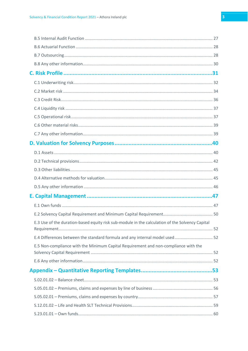| E.3 Use of the duration-based equity risk sub-module in the calculation of the Solvency Capital |  |
|-------------------------------------------------------------------------------------------------|--|
| E.4 Differences between the standard formula and any internal model used 52                     |  |
| E.5 Non-compliance with the Minimum Capital Requirement and non-compliance with the             |  |
|                                                                                                 |  |
|                                                                                                 |  |
|                                                                                                 |  |
|                                                                                                 |  |
|                                                                                                 |  |
|                                                                                                 |  |
|                                                                                                 |  |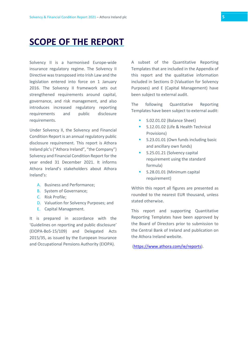# <span id="page-4-0"></span>**SCOPE OF THE REPORT**

Solvency II is a harmonised Europe-wide insurance regulatory regime. The Solvency II Directive was transposed into Irish Law and the legislation entered into force on 1 January 2016. The Solvency II framework sets out strengthened requirements around capital, governance, and risk management, and also introduces increased regulatory reporting requirements and public disclosure requirements.

Under Solvency II, the Solvency and Financial Condition Report is an annual regulatory public disclosure requirement. This report is Athora Ireland plc's ("Athora Ireland", "the Company") Solvency and Financial Condition Report for the year ended 31 December 2021. It informs Athora Ireland's stakeholders about Athora Ireland's:

- A. Business and Performance;
- B. System of Governance;
- C. Risk Profile;
- D. Valuation for Solvency Purposes; and
- E. Capital Management.

It is prepared in accordance with the 'Guidelines on reporting and public disclosure' (EIOPA-BoS-15/109) and Delegated Acts 2015/35, as issued by the European Insurance and Occupational Pensions Authority (EIOPA).

A subset of the Quantitative Reporting Templates that are included in the Appendix of this report and the qualitative information included in Sections D (Valuation for Solvency Purposes) and E (Capital Management) have been subject to external audit.

The following Quantitative Reporting Templates have been subject to external audit:

- S.02.01.02 (Balance Sheet)
- S.12.01.02 (Life & Health Technical Provisions)
- S.23.01.01 (Own funds including basic and ancillary own funds)
- S.25.01.21 (Solvency capital requirement using the standard formula)
- S.28.01.01 (Minimum capital requirement)

Within this report all figures are presented as rounded to the nearest EUR thousand, unless stated otherwise.

This report and supporting Quantitative Reporting Templates have been approved by the Board of Directors prior to submission to the Central Bank of Ireland and publication on the Athora Ireland website.

[\(https://www.athora.com/ie/reports\)](https://www.athora.com/ie/reports).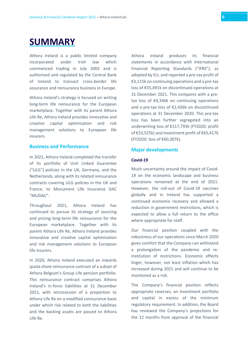# <span id="page-5-0"></span>**SUMMARY**

Athora Ireland is a public limited company incorporated under Irish law which commenced trading in July 2002 and is authorised and regulated by the Central Bank of Ireland to transact cross-border life assurance and reinsurance business in Europe.

Athora Ireland's strategy is focused on writing long-term life reinsurance for the European marketplace. Together with its parent Athora Life Re, Athora Ireland provides innovative and creative capital optimisation and risk management solutions to European life insurers.

# <span id="page-5-1"></span>**Business and Performance**

In 2021, Athora Ireland completed the transfer of its portfolio of Unit Linked Guarantee ("ULG") policies in the UK, Germany, and the Netherlands, along with its related reinsurance contracts covering ULG policies in the UK and France, to Monument Life Insurance DAC "MLIDAC".

Throughout 2021, Athora Ireland has continued to pursue its strategy of sourcing and pricing long-term life reinsurance for the European marketplace. Together with its parent Athora Life Re, Athora Ireland provides innovative and creative capital optimisation and risk management solutions to European life insurers.

In 2020, Athora Ireland executed an inwards quota share reinsurance contract of a subset of Athora Belgium's Group Life pension portfolio. This reinsurance contract comprises Athora Ireland's in-force liabilities at 31 December 2021, with retrocession of a proportion to Athora Life Re on a modified coinsurance basis under which risk related to both the liabilities and the backing assets are passed to Athora Life Re.

Athora Ireland produces its financial statements in accordance with International Financial Reporting Standards ("IFRS"), as adopted by EU, and reported a pre-tax profit of €3,115k on continuing operations and a pre-tax loss of €55,491k on discontinued operations at 31 December 2021. This compares with a pretax loss of €4,346k on continuing operations and a pre-tax loss of €2,436k on discontinued operations at 31 December 2020. This pre-tax loss has been further segregated into an underwriting loss of €117,793k (FY2020: profit of €53,525k) and investment profit of €65,417k (FY2020: loss of €60,307k).

#### <span id="page-5-2"></span>**Major developments**

#### <span id="page-5-3"></span>**Covid-19**

Much uncertainty around the impact of Covid-19 on the economic landscape and business operations remained at the end of 2021. However, the roll-out of Covid-19 vaccines globally and in Ireland has supported a continued economic recovery and allowed a reduction in government restrictions, which is expected to allow a full return to the office where appropriate for staff.

Our financial position coupled with the robustness of our operations since March 2020 gives comfort that the Company can withstand a prolongation of the pandemic and reinstitution of restrictions. Economic effects linger, however, not least inflation which has increased during 2021 and will continue to be monitored as a risk.

The Company's financial position reflects appropriate reserves, an investment portfolio and capital in excess of the minimum regulatory requirement. In addition, the Board has reviewed the Company's projections for the 12 months from approval of the financial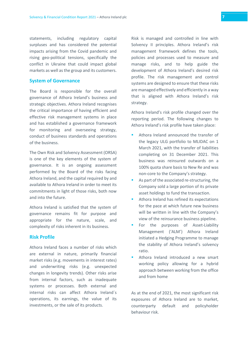statements, including regulatory capital surpluses and has considered the potential impacts arising from the Covid pandemic and rising geo-political tensions, specifically the conflict in Ukraine that could impact global markets as well as the group and its customers.

#### <span id="page-6-0"></span>**System of Governance**

The Board is responsible for the overall governance of Athora Ireland's business and strategic objectives. Athora Ireland recognises the critical importance of having efficient and effective risk management systems in place and has established a governance framework for monitoring and overseeing strategy, conduct of business standards and operations of the business.

The Own Risk and Solvency Assessment (ORSA) is one of the key elements of the system of governance. It is an ongoing assessment performed by the Board of the risks facing Athora Ireland, and the capital required by and available to Athora Ireland in order to meet its commitments in light of those risks, both now and into the future.

Athora Ireland is satisfied that the system of governance remains fit for purpose and appropriate for the nature, scale, and complexity of risks inherent in its business.

# <span id="page-6-1"></span>**Risk Profile**

Athora Ireland faces a number of risks which are external in nature, primarily financial market risks (e.g. movements in interest rates) and underwriting risks (e.g. unexpected changes in longevity trends). Other risks arise from internal factors, such as inadequate systems or processes. Both external and internal risks can affect Athora Ireland´s operations, its earnings, the value of its investments, or the sale of its products.

Risk is managed and controlled in line with Solvency II principles. Athora Ireland's risk management framework defines the tools, policies and processes used to measure and manage risks, and to help guide the development of Athora Ireland's desired risk profile. The risk management and control systems are designed to ensure that these risks are managed effectively and efficiently in a way that is aligned with Athora Ireland's risk strategy.

Athora Ireland's risk profile changed over the reporting period. The following changes to Athora Ireland's risk profile have taken place:

- Athora Ireland announced the transfer of the legacy ULG portfolio to MLIDAC on 1 March 2021, with the transfer of liabilities completing on 31 December 2021. This business was reinsured outwards on a 100% quota share basis to New Re and was non-core to the Company's strategy.
- As part of the associated re-structuring, the Company sold a large portion of its private asset holdings to fund the transaction.
- Athora Ireland has refined its expectations for the pace at which future new business will be written in line with the Company's view of the reinsurance business pipeline.
- For the purposes of Asset-Liability Management ('ALM') Athora Ireland initiated a Hedging Programme to manage the stability of Athora Ireland's solvency ratio.
- Athora Ireland introduced a new smart working policy allowing for a hybrid approach between working from the office and from home

As at the end of 2021, the most significant risk exposures of Athora Ireland are to market, counterparty default and policyholder behaviour risk.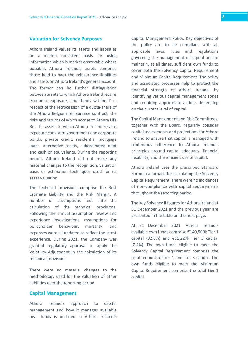# <span id="page-7-0"></span>**Valuation for Solvency Purposes**

Athora Ireland values its assets and liabilities on a market consistent basis, i.e. using information which is market observable where possible. Athora Ireland's assets comprise those held to back the reinsurance liabilities and assets on Athora Ireland's general account. The former can be further distinguished between assets to which Athora Ireland retains economic exposure, and 'funds withheld' in respect of the retrocession of a quota-share of the Athora Belgium reinsurance contract, the risks and returns of which accrue to Athora Life Re. The assets to which Athora Ireland retains exposure consist of government and corporate bonds, private credit, residential mortgage loans, alternative assets, subordinated debt and cash or equivalents. During the reporting period, Athora Ireland did not make any material changes to the recognition, valuation basis or estimation techniques used for its asset valuation.

The technical provisions comprise the Best Estimate Liability and the Risk Margin. A number of assumptions feed into the calculation of the technical provisions. Following the annual assumption review and experience investigations, assumptions for policyholder behaviour, mortality, and expenses were all updated to reflect the latest experience. During 2021, the Company was granted regulatory approval to apply the Volatility Adjustment in the calculation of its technical provisions.

There were no material changes to the methodology used for the valuation of other liabilities over the reporting period.

#### <span id="page-7-1"></span>**Capital Management**

Athora Ireland's approach to capital management and how it manages available own funds is outlined in Athora Ireland's

Capital Management Policy. Key objectives of the policy are to be compliant with all applicable laws, rules and regulations governing the management of capital and to maintain, at all times, sufficient own funds to cover both the Solvency Capital Requirement and Minimum Capital Requirement. The policy and associated processes help to protect the financial strength of Athora Ireland, by identifying various capital management zones and requiring appropriate actions depending on the current level of capital.

The Capital Management and Risk Committees, together with the Board, regularly consider capital assessments and projections for Athora Ireland to ensure that capital is managed with continuous adherence to Athora Ireland's principles around capital adequacy, financial flexibility, and the efficient use of capital.

Athora Ireland uses the prescribed Standard Formula approach for calculating the Solvency Capital Requirement. There were no incidences of non-compliance with capital requirements throughout the reporting period.

The key Solvency II figures for Athora Ireland at 31 December 2021 and the previous year are presented in the table on the next page.

At 31 December 2021, Athora Ireland's available own funds comprise €140,509k Tier 1 capital (92.6%) and  $£11,227k$  Tier 3 capital (7.4%). The own funds eligible to meet the Solvency Capital Requirement comprise the total amount of Tier 1 and Tier 3 capital. The own funds eligible to meet the Minimum Capital Requirement comprise the total Tier 1 capital.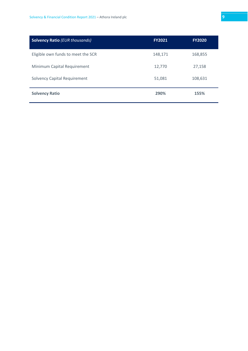| <b>Solvency Ratio (EUR thousands)</b> | <b>FY2021</b> | <b>FY2020</b> |
|---------------------------------------|---------------|---------------|
| Eligible own funds to meet the SCR    | 148,171       | 168,855       |
| Minimum Capital Requirement           | 12,770        | 27,158        |
| <b>Solvency Capital Requirement</b>   | 51,081        | 108,631       |
| <b>Solvency Ratio</b>                 | 290%          | 155%          |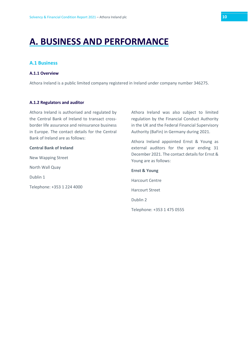# <span id="page-9-0"></span>**A. BUSINESS AND PERFORMANCE**

# <span id="page-9-1"></span>**A.1 Business**

#### <span id="page-9-2"></span>**A.1.1 Overview**

Athora Ireland is a public limited company registered in Ireland under company number 346275.

#### <span id="page-9-3"></span>**A.1.2 Regulators and auditor**

Athora Ireland is authorised and regulated by the Central Bank of Ireland to transact crossborder life assurance and reinsurance business in Europe. The contact details for the Central Bank of Ireland are as follows:

#### **Central Bank of Ireland**

New Wapping Street North Wall Quay Dublin 1 Telephone: +353 1 224 4000 Athora Ireland was also subject to limited regulation by the Financial Conduct Authority in the UK and the Federal Financial Supervisory Authority (BaFin) in Germany during 2021.

Athora Ireland appointed Ernst & Young as external auditors for the year ending 31 December 2021. The contact details for Ernst & Young are as follows:

# **Ernst & Young** Harcourt Centre Harcourt Street Dublin 2 Telephone: +353 1 475 0555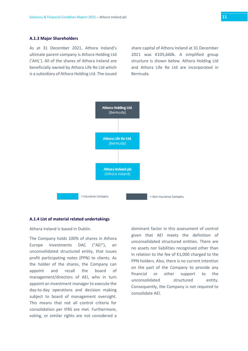#### <span id="page-10-0"></span>**A.1.3 Major Shareholders**

As at 31 December 2021, Athora Ireland's ultimate parent company is Athora Holding Ltd ('AHL'). All of the shares of Athora Ireland are beneficially owned by Athora Life Re Ltd which is a subsidiary of Athora Holding Ltd. The issued share capital of Athora Ireland at 31 December 2021 was €105,660k. A simplified group structure is shown below. Athora Holding Ltd and Athora Life Re Ltd are incorporated in Bermuda.



#### <span id="page-10-1"></span>**A.1.4 List of material related undertakings**

Athora Ireland is based in Dublin.

The Company holds 100% of shares in Athora Europe Investments DAC ("AEI"), an unconsolidated structured entity, that issues profit participating notes (PPN) to clients. As the holder of the shares, the Company can appoint and recall the board of management/directors of AEI, who in turn appoint an investment manager to execute the day-to-day operations and decision making subject to board of management oversight. This means that not all control criteria for consolidation per IFRS are met. Furthermore, voting, or similar rights are not considered a

dominant factor in this assessment of control given that AEI meets the definition of unconsolidated structured entities. There are no assets nor liabilities recognised other than in relation to the fee of €1,000 charged to the PPN holders. Also, there is no current intention on the part of the Company to provide any financial or other support to the unconsolidated structured entity. Consequently, the Company is not required to consolidate AEI.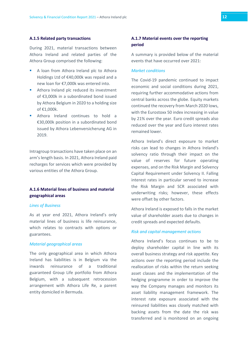<span id="page-11-0"></span>During 2021, material transactions between Athora Ireland and related parties of the Athora Group comprised the following:

- A loan from Athora Ireland plc to Athora Holdings Ltd of €40,000k was repaid and a new loan for €7,000k was entered into.
- Athora Ireland plc reduced its investment of €3,000k in a subordinated bond issued by Athora Belgium in 2020 to a holding size of €1,000k.
- **E** Athora Ireland continues to hold a €30,000k position in a subordinated bond issued by Athora Lebenversicherung AG in 2019.

Intragroup transactions have taken place on an arm's length basis. In 2021, Athora Ireland paid recharges for services which were provided by various entities of the Athora Group.

# <span id="page-11-1"></span>**A.1.6 Material lines of business and material geographical areas**

#### *Lines of Business*

As at year end 2021, Athora Ireland's only material lines of business is life reinsurance, which relates to contracts with options or guarantees.

#### *Material geographical areas*

The only geographical area in which Athora Ireland has liabilities is in Belgium via the inwards reinsurance of a traditional guaranteed Group Life portfolio from Athora Belgium, with a subsequent retrocession arrangement with Athora Life Re, a parent entity domiciled in Bermuda.

# <span id="page-11-2"></span>**A.1.7 Material events over the reporting period**

A summary is provided below of the material events that have occurred over 2021:

#### *Market conditions*

The Covid-19 pandemic continued to impact economic and social conditions during 2021, requiring further accommodative actions from central banks across the globe. Equity markets continued the recovery from March 2020 lows, with the Eurostoxx 50 index increasing in value by 21% over the year. Euro credit spreads also reduced over the year and Euro interest rates remained lower.

Athora Ireland's direct exposure to market risks can lead to changes in Athora Ireland's solvency ratio through their impact on the value of reserves for future operating expenses, and on the Risk Margin and Solvency Capital Requirement under Solvency II. Falling interest rates in particular served to increase the Risk Margin and SCR associated with underwriting risks; however, these effects were offset by other factors.

Athora Ireland is exposed to falls in the market value of shareholder assets due to changes in credit spreads and expected defaults.

#### *Risk and capital management actions*

Athora Ireland's focus continues to be to deploy shareholder capital in line with its overall business strategy and risk appetite. Key actions over the reporting period include the reallocation of risks within the return seeking asset classes and the implementation of the hedging programme in order to improve the way the Company manages and monitors its asset liability management framework. The interest rate exposure associated with the reinsured liabilities was closely matched with backing assets from the date the risk was transferred and is monitored on an ongoing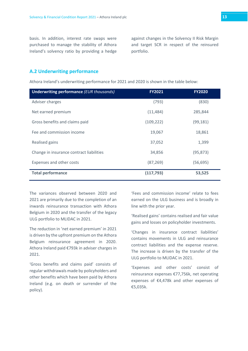basis. In addition, interest rate swaps were purchased to manage the stability of Athora Ireland's solvency ratio by providing a hedge against changes in the Solvency II Risk Margin and target SCR in respect of the reinsured portfolio.

# <span id="page-12-0"></span>**A.2 Underwriting performance**

Athora Ireland's underwriting performance for 2021 and 2020 is shown in the table below:

| <b>Underwriting performance (EUR thousands)</b> | <b>FY2021</b> | <b>FY2020</b> |
|-------------------------------------------------|---------------|---------------|
| Adviser charges                                 | (793)         | (830)         |
| Net earned premium                              | (11, 484)     | 285,844       |
| Gross benefits and claims paid                  | (109, 222)    | (99, 181)     |
| Fee and commission income                       | 19,067        | 18,861        |
| Realised gains                                  | 37,052        | 1,399         |
| Change in insurance contract liabilities        | 34,856        | (95, 873)     |
| Expenses and other costs                        | (87, 269)     | (56, 695)     |
| <b>Total performance</b>                        | (117, 793)    | 53,525        |

The variances observed between 2020 and 2021 are primarily due to the completion of an inwards reinsurance transaction with Athora Belgium in 2020 and the transfer of the legacy ULG portfolio to MLIDAC in 2021.

The reduction in 'net earned premium' in 2021 is driven by the upfront premium on the Athora Belgium reinsurance agreement in 2020. Athora Ireland paid €793k in adviser charges in 2021.

'Gross benefits and claims paid' consists of regular withdrawals made by policyholders and other benefits which have been paid by Athora Ireland (e.g. on death or surrender of the policy).

'Fees and commission income' relate to fees earned on the ULG business and is broadly in line with the prior year.

'Realised gains' contains realised and fair value gains and losses on policyholder investments.

'Changes in insurance contract liabilities' contains movements in ULG and reinsurance contract liabilities and the expense reserve. The increase is driven by the transfer of the ULG portfolio to MLIDAC in 2021.

'Expenses and other costs' consist of reinsurance expenses €77,756k, net operating expenses of €4,478k and other expenses of €5,035k.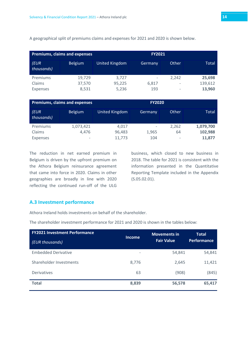A geographical split of premiums claims and expenses for 2021 and 2020 is shown below.

|                    | <b>Premiums, claims and expenses</b> |                | <b>FY2021</b>            |       |         |
|--------------------|--------------------------------------|----------------|--------------------------|-------|---------|
| (EUR<br>thousands) | <b>Belgium</b>                       | United Kingdom | Germany                  | Other | Total   |
| Premiums           | 19,729                               | 3,727          | $\overline{\phantom{a}}$ | 2,242 | 25,698  |
| Claims             | 37,570                               | 95,225         | 6,817                    |       | 139,612 |
| <b>Expenses</b>    | 8,531                                | 5,236          | 193                      |       | 13,960  |

|                   | <b>Premiums, claims and expenses</b> |                | <b>FY2020</b>                |       |           |
|-------------------|--------------------------------------|----------------|------------------------------|-------|-----------|
| EUR<br>thousands) | <b>Belgium</b>                       | United Kingdom | Germany                      | Other | Total     |
| Premiums          | 1,073,421                            | 4.017          | $\qquad \qquad \blacksquare$ | 2,262 | 1,079,700 |
| Claims            | 4,476                                | 96,483         | 1,965                        | 64    | 102,988   |
| <b>Expenses</b>   | -                                    | 11.773         | 104                          | -     | 11,877    |

The reduction in net earned premium in Belgium is driven by the upfront premium on the Athora Belgium reinsurance agreement that came into force in 2020. Claims in other geographies are broadly in line with 2020 reflecting the continued run-off of the ULG

business, which closed to new business in 2018. The table for 2021 is consistent with the information presented in the Quantitative Reporting Template included in the Appendix (S.05.02.01).

#### <span id="page-13-0"></span>**A.3 Investment performance**

Athora Ireland holds investments on behalf of the shareholder.

The shareholder investment performance for 2021 and 2020 is shown in the tables below:

| <b>FY2021 Investment Performance</b><br>(EUR thousands) | <b>Income</b> | <b>Movements in</b><br><b>Fair Value</b> | <b>Total</b><br><b>Performance</b> |
|---------------------------------------------------------|---------------|------------------------------------------|------------------------------------|
| <b>Embedded Derivative</b>                              |               | 54,841                                   | 54,841                             |
| Shareholder Investments                                 | 8,776         | 2,645                                    | 11,421                             |
| <b>Derivatives</b>                                      | 63            | (908)                                    | (845)                              |
| <b>Total</b>                                            | 8,839         | 56,578                                   | 65,417                             |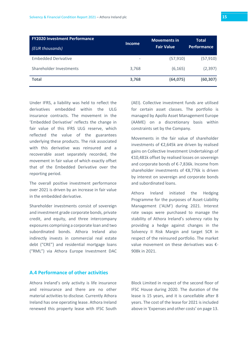| <b>FY2020 Investment Performance</b><br>(EUR thousands) | <b>Income</b> | <b>Movements in</b><br><b>Fair Value</b> | <b>Total</b><br><b>Performance</b> |
|---------------------------------------------------------|---------------|------------------------------------------|------------------------------------|
| <b>Embedded Derivative</b>                              |               | (57, 910)                                | (57, 910)                          |
| Shareholder Investments                                 | 3,768         | (6, 165)                                 | (2, 397)                           |
| <b>Total</b>                                            | 3,768         | (64, 075)                                | (60, 307)                          |

Under IFRS, a liability was held to reflect the derivatives embedded within the ULG insurance contracts. The movement in the 'Embedded Derivative' reflects the change in fair value of this IFRS ULG reserve, which reflected the value of the guarantees underlying these products. The risk associated with this derivative was reinsured and a recoverable asset separately recorded, the movement in fair value of which exactly offset that of the Embedded Derivative over the reporting period.

The overall positive investment performance over 2021 is driven by an increase in fair value in the embedded derivative.

Shareholder investments consist of sovereign and investment grade corporate bonds, private credit, and equity, and three intercompany exposures comprising a corporate loan and two subordinated bonds. Athora Ireland also indirectly invests in commercial real estate debt ("CRE") and residential mortgage loans ("RML") via Athora Europe Investment DAC

(AEI). Collective investment funds are utilised for certain asset classes. The portfolio is managed by Apollo Asset Management Europe (AAME) on a discretionary basis within constraints set by the Company.

Movements in the fair value of shareholder investments of €2,645k are driven by realised gains on Collective Investment Undertakings of €10,481k offset by realised losses on sovereign and corporate bonds of €-7,836k. Income from shareholder investments of €8,776k is driven by interest on sovereign and corporate bonds and subordinated loans.

Athora Ireland initiated the Hedging Programme for the purposes of Asset-Liability Management ('ALM') during 2021. Interest rate swaps were purchased to manage the stability of Athora Ireland's solvency ratio by providing a hedge against changes in the Solvency II Risk Margin and target SCR in respect of the reinsured portfolio. The market value movement on these derivatives was €- 908k in 2021.

# <span id="page-14-0"></span>**A.4 Performance of other activities**

Athora Ireland's only activity is life insurance and reinsurance and there are no other material activities to disclose. Currently Athora Ireland has one operating lease. Athora Ireland renewed this property lease with IFSC South

Block Limited in respect of the second floor of IFSC House during 2020. The duration of the lease is 15 years, and it is cancellable after 8 years. The cost of the lease for 2021 is included above in 'Expenses and other costs' on page 13.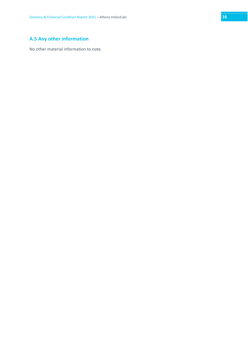# <span id="page-15-0"></span>**A.5 Any other information**

No other material information to note.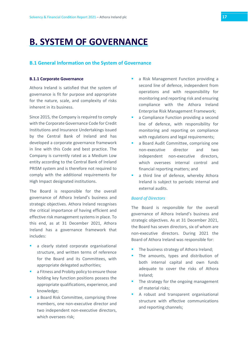# <span id="page-16-0"></span>**B. SYSTEM OF GOVERNANCE**

### <span id="page-16-1"></span>**B.1 General Information on the System of Governance**

#### <span id="page-16-2"></span>**B.1.1 Corporate Governance**

Athora Ireland is satisfied that the system of governance is fit for purpose and appropriate for the nature, scale, and complexity of risks inherent in its business.

Since 2015, the Company is required to comply with the Corporate Governance Code for Credit Institutions and Insurance Undertakings issued by the Central Bank of Ireland and has developed a corporate governance framework in line with this Code and best practice. The Company is currently rated as a Medium Low entity according to the Central Bank of Ireland PRISM system and is therefore not required to comply with the additional requirements for High Impact designated institutions.

The Board is responsible for the overall governance of Athora Ireland's business and strategic objectives. Athora Ireland recognises the critical importance of having efficient and effective risk management systems in place. To this end, as at 31 December 2021, Athora Ireland has a governance framework that includes:

- a clearly stated corporate organisational structure, and written terms of reference for the Board and its Committees, with appropriate delegated authorities;
- a Fitness and Probity policy to ensure those holding key function positions possess the appropriate qualifications, experience, and knowledge;
- a Board Risk Committee, comprising three members, one non-executive director and two independent non-executive directors, which oversees risk;
- a Risk Management Function providing a second line of defence, independent from operations and with responsibility for monitoring and reporting risk and ensuring compliance with the Athora Ireland Enterprise Risk Management Framework;
- a Compliance Function providing a second line of defence, with responsibility for monitoring and reporting on compliance with regulations and legal requirements;
- **a** Board Audit Committee, comprising one non-executive director and two independent non-executive directors, which oversees internal control and financial reporting matters; and
- a third line of defence, whereby Athora Ireland is subject to periodic internal and external audits.

#### *Board of Directors*

The Board is responsible for the overall governance of Athora Ireland's business and strategic objectives. As at 31 December 2021, the Board has seven directors, six of whom are non-executive directors. During 2021 the Board of Athora Ireland was responsible for:

- The business strategy of Athora Ireland;
- The amounts, types and distribution of both internal capital and own funds adequate to cover the risks of Athora Ireland;
- The strategy for the ongoing management of material risks;
- A robust and transparent organisational structure with effective communications and reporting channels;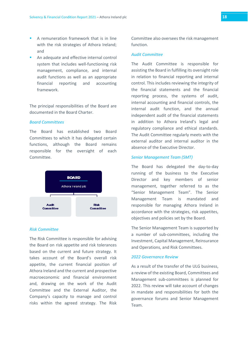- A remuneration framework that is in line with the risk strategies of Athora Ireland; and
- An adequate and effective internal control system that includes well-functioning risk management, compliance, and internal audit functions as well as an appropriate financial reporting and accounting framework.

The principal responsibilities of the Board are documented in the Board Charter.

#### *Board Committees*

The Board has established two Board Committees to which it has delegated certain functions, although the Board remains responsible for the oversight of each Committee.



#### *Risk Committee*

The Risk Committee is responsible for advising the Board on risk appetite and risk tolerances based on the current and future strategy. It takes account of the Board's overall risk appetite, the current financial position of Athora Ireland and the current and prospective macroeconomic and financial environment and, drawing on the work of the Audit Committee and the External Auditor, the Company's capacity to manage and control risks within the agreed strategy. The Risk Committee also oversees the risk management function.

#### *Audit Committee*

The Audit Committee is responsible for assisting the Board in fulfilling its oversight role in relation to financial reporting and internal control. This includes reviewing the integrity of the financial statements and the financial reporting process, the systems of audit, internal accounting and financial controls, the internal audit function, and the annual independent audit of the financial statements in addition to Athora Ireland's legal and regulatory compliance and ethical standards. The Audit Committee regularly meets with the external auditor and internal auditor in the absence of the Executive Director.

#### *Senior Management Team (SMT)*

The Board has delegated the day-to-day running of the business to the Executive Director and key members of senior management, together referred to as the "Senior Management Team". The Senior Management Team is mandated and responsible for managing Athora Ireland in accordance with the strategies, risk appetites, objectives and policies set by the Board.

The Senior Management Team is supported by a number of sub-committees, including the Investment, Capital Management, Reinsurance and Operations, and Risk Committees.

#### *2022 Governance Review*

As a result of the transfer of the ULG business, a review of the existing Board, Committees and Management sub-committees is planned for 2022. This review will take account of changes in mandate and responsibilities for both the governance forums and Senior Management Team.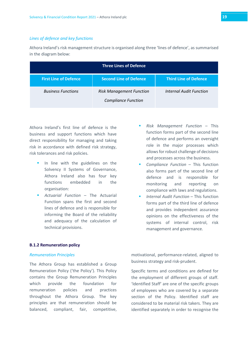#### *Lines of defence and key functions*

Athora Ireland's risk management structure is organised along three 'lines of defence', as summarised in the diagram below:

| <b>Three Lines of Defence</b> |                                                               |                              |  |
|-------------------------------|---------------------------------------------------------------|------------------------------|--|
| <b>First Line of Defence</b>  | <b>Second Line of Defence</b>                                 | <b>Third Line of Defence</b> |  |
| <b>Business Functions</b>     | <b>Risk Management Function</b><br><b>Compliance Function</b> | Internal Audit Function      |  |

Athora Ireland's first line of defence is the business and support functions which have direct responsibility for managing and taking risk in accordance with defined risk strategy, risk tolerances and risk policies.

- In line with the guidelines on the Solvency II Systems of Governance, Athora Ireland also has four key functions embedded in the organisation:
- *Actuarial Function* The Actuarial Function spans the first and second lines of defence and is responsible for informing the Board of the reliability and adequacy of the calculation of technical provisions.

#### <span id="page-18-0"></span>**B.1.2 Remuneration policy**

#### *Remuneration Principles*

The Athora Group has established a Group Remuneration Policy ('the Policy'). This Policy contains the Group Remuneration Principles which provide the foundation for remuneration policies and practices throughout the Athora Group. The key principles are that remuneration should be balanced, compliant, fair, competitive,

- *Risk Management Function* This function forms part of the second line of defence and performs an oversight role in the major processes which allows for robust challenge of decisions and processes across the business.
- *Compliance Function* This function also forms part of the second line of defence and is responsible for monitoring and reporting on compliance with laws and regulations.
- *Internal Audit Function* This function forms part of the third line of defence and provides independent assurance opinions on the effectiveness of the systems of internal control, risk management and governance.

motivational, performance-related, aligned to business strategy and risk-prudent.

Specific terms and conditions are defined for the employment of different groups of staff. 'Identified Staff' are one of the specific groups of employees who are covered by a separate section of the Policy. Identified staff are considered to be material risk takers. They are identified separately in order to recognise the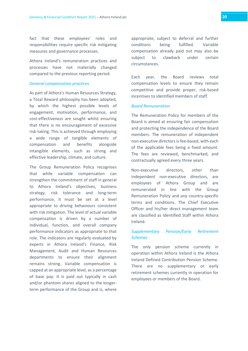fact that these employees' roles and responsibilities require specific risk mitigating measures and governance processes.

Athora Ireland's remuneration practices and processes have not materially changed compared to the previous reporting period.

#### *General compensation practices*

As part of Athora's Human Resources Strategy, a Total Reward philosophy has been adopted, by which the highest possible levels of engagement, motivation, performance, and cost-effectiveness are sought whilst ensuring that there is no encouragement of excessive risk-taking. This is achieved through employing a wide range of tangible elements of compensation and benefits alongside intangible elements, such as strong and effective leadership, climate, and culture.

The Group Remuneration Policy recognises that while variable compensation can strengthen the commitment of staff in general to Athora Ireland's objectives, business strategy, risk tolerance and long-term performance, it must be set at a level appropriate to driving behaviours consistent with risk mitigation. The level of actual variable compensation is driven by a number of individual, function, and overall company performance indicators as appropriate to that role. The indicators are regularly evaluated by experts in Athora Ireland's Finance, Risk Management, Audit and Human Resources departments to ensure their alignment remains strong. Variable compensation is capped at an appropriate level, as a percentage of base pay: It is paid out typically in cash and/or phantom shares aligned to the longerterm performance of the Group and is, where

appropriate, subject to deferral and further conditions being fulfilled. Variable compensation already paid out may also be subject to clawback under certain circumstances.

Each year, the Board reviews total compensation levels to ensure they remain competitive and provide proper, risk-based incentives to identified members of staff.

#### *Board Remuneration*

The Remuneration Policy for members of the Board is aimed at ensuring fair compensation and protecting the independence of the Board members. The remuneration of independent non-executive directors is fee-based, with each of the applicable fees being a fixed amount. The fees are reviewed, benchmarked, and contractually agreed every three years.

Non-executive directors, other than independent non-executive directors, are employees of Athora Group and are remunerated in line with the Group Remuneration Policy and any country-specific terms and conditions. The Chief Executive Officer and his/her direct management team are classified as Identified Staff within Athora Ireland.

# *Supplementary Pension/Early Retirement Schemes*

The only pension scheme currently in operation within Athora Ireland is the Athora Ireland Defined Contribution Pension Scheme. There are no supplementary or early retirement schemes currently in operation for employees or members of the Board.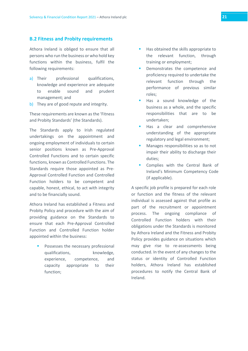# <span id="page-20-0"></span>**B.2 Fitness and Probity requirements**

Athora Ireland is obliged to ensure that all persons who run the business or who hold key functions within the business, fulfil the following requirements:

- a) Their professional qualifications, knowledge and experience are adequate to enable sound and prudent management; and
- b) They are of good repute and integrity.

These requirements are known as the 'Fitness and Probity Standards' (the Standards).

The Standards apply to Irish regulated undertakings on the appointment and ongoing employment of individuals to certain senior positions known as Pre-Approval Controlled Functions and to certain specific functions, known as Controlled Functions. The Standards require those appointed as Pre-Approval Controlled Function and Controlled Function holders to be competent and capable, honest, ethical, to act with integrity and to be financially sound.

Athora Ireland has established a Fitness and Probity Policy and procedure with the aim of providing guidance on the Standards to ensure that each Pre-Approval Controlled Function and Controlled Function holder appointed within the business:

 Possesses the necessary professional qualifications, knowledge, experience, competence, and capacity appropriate to their function;

- Has obtained the skills appropriate to the relevant function, through training or employment;
- Demonstrates the competence and proficiency required to undertake the relevant function through the performance of previous similar roles;
- Has a sound knowledge of the business as a whole, and the specific responsibilities that are to be undertaken;
- Has a clear and comprehensive understanding of the appropriate regulatory and legal environment;
- Manages responsibilities so as to not impair their ability to discharge their duties;
- Complies with the Central Bank of Ireland's Minimum Competency Code (if applicable).

A specific job profile is prepared for each role or function and the fitness of the relevant individual is assessed against that profile as part of the recruitment or appointment process. The ongoing compliance of Controlled Function holders with their obligations under the Standards is monitored by Athora Ireland and the Fitness and Probity Policy provides guidance on situations which may give rise to re-assessments being conducted. In the event of any changes to the status or identity of Controlled Function holders, Athora Ireland has established procedures to notify the Central Bank of Ireland.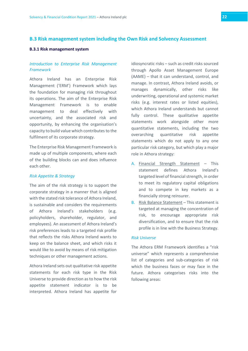# <span id="page-21-0"></span>**B.3 Risk management system including the Own Risk and Solvency Assessment**

#### <span id="page-21-1"></span>**B.3.1 Risk management system**

# *Introduction to Enterprise Risk Management Framework*

Athora Ireland has an Enterprise Risk Management ('ERM') Framework which lays the foundation for managing risk throughout its operations. The aim of the Enterprise Risk Management Framework is to enable management to deal effectively with uncertainty, and the associated risk and opportunity, by enhancing the organisation's capacity to build value which contributes to the fulfilment of its corporate strategy.

The Enterprise Risk Management Framework is made up of multiple components, where each of the building blocks can and does influence each other.

### *Risk Appetite & Strategy*

The aim of the risk strategy is to support the corporate strategy in a manner that is aligned with the stated risk tolerance of Athora Ireland, is sustainable and considers the requirements of Athora Ireland's stakeholders (e.g. policyholders, shareholder, regulator, and employees). An assessment of Athora Ireland's risk preferences leads to a targeted risk profile that reflects the risks Athora Ireland wants to keep on the balance sheet, and which risks it would like to avoid by means of risk mitigation techniques or other management actions.

Athora Ireland sets out qualitative risk appetite statements for each risk type in the Risk Universe to provide direction as to how the risk appetite statement indicator is to be interpreted. Athora Ireland has appetite for idiosyncratic risks – such as credit risks sourced through Apollo Asset Management Europe (AAME) – that it can understand, control, and manage. In contrast, Athora Ireland avoids, or manages dynamically, other risks like underwriting, operational and systemic market risks (e.g. interest rates or listed equities), which Athora Ireland understands but cannot fully control. These qualitative appetite statements work alongside other more quantitative statements, including the two overarching quantitative risk appetite statements which do not apply to any one particular risk category, but which play a major role in Athora strategy:

- A. Financial Strength Statement This statement defines Athora Ireland's targeted level of financial strength, in order to meet its regulatory capital obligations and to compete in key markets as a financially strong reinsurer.
- B. Risk Balance Statement This statement is targeted at managing the concentration of risk, to encourage appropriate risk diversification, and to ensure that the risk profile is in line with the Business Strategy.

#### *Risk Universe*

The Athora ERM Framework identifies a "risk universe" which represents a comprehensive list of categories and sub-categories of risk which the business faces or may face in the future. Athora categorises risks into the following areas: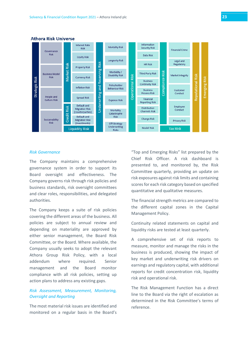

#### **Athora Risk Universe**

#### *Risk Governance*

The Company maintains a comprehensive governance system in order to support its Board oversight and effectiveness. The Company governs risk through risk policies and business standards, risk oversight committees and clear roles, responsibilities, and delegated authorities.

The Company keeps a suite of risk policies covering the different areas of the business. All policies are subject to annual review and depending on materiality are approved by either senior management, the Board Risk Committee, or the Board. Where available, the Company usually seeks to adopt the relevant Athora Group Risk Policy, with a local addendum where required. Senior management and the Board monitor compliance with all risk policies, setting up action plans to address any existing gaps.

### *Risk Assessment, Measurement, Monitoring, Oversight and Reporting*

The most material risk issues are identified and monitored on a regular basis in the Board's "Top and Emerging Risks" list prepared by the Chief Risk Officer. A risk dashboard is presented to, and monitored by, the Risk Committee quarterly, providing an update on risk exposures against risk limits and containing scores for each risk category based on specified quantitative and qualitative measures.

The financial strength metrics are compared to the different capital zones in the Capital Management Policy.

Continuity related statements on capital and liquidity risks are tested at least quarterly.

A comprehensive set of risk reports to measure, monitor and manage the risks in the business is produced, showing the impact of key market and underwriting risk drivers on earnings and regulatory capital, with additional reports for credit concentration risk, liquidity risk and operational risk.

The Risk Management Function has a direct line to the Board via the right of escalation as determined in the Risk Committee's terms of reference.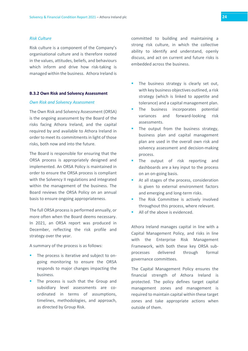#### *Risk Culture*

Risk culture is a component of the Company's organisational culture and is therefore rooted in the values, attitudes, beliefs, and behaviours which inform and drive how risk-taking is managed within the business. Athora Ireland is

#### <span id="page-23-0"></span>**B.3.2 Own Risk and Solvency Assessment**

#### *Own Risk and Solvency Assessment*

The Own Risk and Solvency Assessment (ORSA) is the ongoing assessment by the Board of the risks facing Athora Ireland, and the capital required by and available to Athora Ireland in order to meet its commitments in light of those risks, both now and into the future.

The Board is responsible for ensuring that the ORSA process is appropriately designed and implemented. An ORSA Policy is maintained in order to ensure the ORSA process is compliant with the Solvency II regulations and integrated within the management of the business. The Board reviews the ORSA Policy on an annual basis to ensure ongoing appropriateness.

The full ORSA process is performed annually, or more often when the Board deems necessary. In 2021, an ORSA report was produced in December, reflecting the risk profile and strategy over the year.

A summary of the process is as follows:

- **The process is iterative and subject to on**going monitoring to ensure the ORSA responds to major changes impacting the business.
- The process is such that the Group and subsidiary level assessments are coordinated in terms of assumptions, timelines, methodologies, and approach, as directed by Group Risk.

committed to building and maintaining a strong risk culture, in which the collective ability to identify and understand, openly discuss, and act on current and future risks is embedded across the business.

- The business strategy is clearly set out, with key business objectives outlined, a risk strategy (which is linked to appetite and tolerance) and a capital management plan.
- The business incorporates potential variances and forward-looking risk assessments.
- The output from the business strategy, business plan and capital management plan are used in the overall own risk and solvency assessment and decision-making process.
- The output of risk reporting and dashboards are a key input to the process on an on-going basis.
- At all stages of the process, consideration is given to external environment factors and emerging and long-term risks.
- The Risk Committee is actively involved throughout this process, where relevant.
- All of the above is evidenced.

Athora Ireland manages capital in line with a Capital Management Policy, and risks in line with the Enterprise Risk Management Framework, with both these key ORSA subprocesses delivered through formal governance committees.

The Capital Management Policy ensures the financial strength of Athora Ireland is protected. The policy defines target capital management zones and management is required to maintain capital within these target zones and take appropriate actions when outside of them.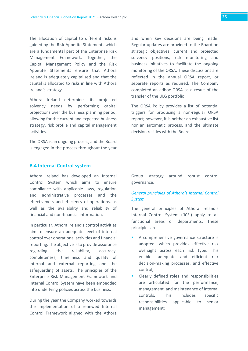The allocation of capital to different risks is guided by the Risk Appetite Statements which are a fundamental part of the Enterprise Risk Management Framework. Together, the Capital Management Policy and the Risk Appetite Statements ensure that Athora Ireland is adequately capitalised and that the capital is allocated to risks in line with Athora Ireland's strategy.

Athora Ireland determines its projected solvency needs by performing capital projections over the business planning period, allowing for the current and expected business strategy, risk profile and capital management activities.

The ORSA is an ongoing process, and the Board is engaged in the process throughout the year

and when key decisions are being made. Regular updates are provided to the Board on strategic objectives, current and projected solvency positions, risk monitoring and business initiatives to facilitate the ongoing monitoring of the ORSA. These discussions are reflected in the annual ORSA report, or separate reports as required. The Company completed an adhoc ORSA as a result of the transfer of the ULG portfolio.

The ORSA Policy provides a list of potential triggers for producing a non-regular ORSA report; however, it is neither an exhaustive list nor an automatic process, and the ultimate decision resides with the Board.

### <span id="page-24-0"></span>**B.4 Internal Control system**

Athora Ireland has developed an Internal Control System which aims to ensure compliance with applicable laws, regulation and administrative processes and the effectiveness and efficiency of operations, as well as the availability and reliability of financial and non-financial information.

In particular, Athora Ireland's control activities aim to ensure an adequate level of internal control over operational activities and financial reporting. The objective is to provide assurance regarding the reliability, accuracy, completeness, timeliness and quality of internal and external reporting and the safeguarding of assets. The principles of the Enterprise Risk Management Framework and Internal Control System have been embedded into underlying policies across the business.

During the year the Company worked towards the implementation of a renewed Internal Control Framework aligned with the Athora

Group strategy around robust control governance.

# *General principles of Athora's Internal Control System*

The general principles of Athora Ireland's Internal Control System ('ICS') apply to all functional areas or departments. These principles are:

- A comprehensive governance structure is adopted, which provides effective risk oversight across each risk type. This enables adequate and efficient risk decision-making processes, and effective control;
- Clearly defined roles and responsibilities are articulated for the performance, management, and maintenance of internal controls. This includes specific responsibilities applicable to senior management;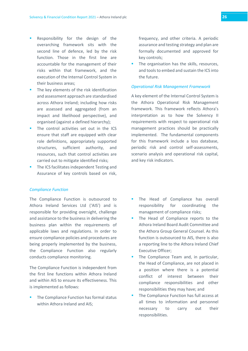- Responsibility for the design of the overarching framework sits with the second line of defence, led by the risk function. Those in the first line are accountable for the management of their risks within that framework, and the execution of the Internal Control System in their business areas;
- The key elements of the risk identification and assessment approach are standardised across Athora Ireland; including how risks are assessed and aggregated (from an impact and likelihood perspective), and organised (against a defined hierarchy);
- The control activities set out in the ICS ensure that staff are equipped with clear role definitions, appropriately supported structures, sufficient authority, and resources, such that control activities are carried out to mitigate identified risks;
- The ICS facilitates independent Testing and Assurance of key controls based on risk,

#### *Compliance Function*

The Compliance Function is outsourced to Athora Ireland Services Ltd ('AIS') and is responsible for providing oversight, challenge and assistance to the business in delivering the business plan within the requirements of applicable laws and regulations. In order to ensure compliance policies and procedures are being properly implemented by the business, the Compliance Function also regularly conducts compliance monitoring.

The Compliance Function is independent from the first line functions within Athora Ireland and within AIS to ensure its effectiveness. This is implemented as follows:

 The Compliance Function has formal status within Athora Ireland and AIS:

frequency, and other criteria. A periodic assurance and testing strategy and plan are formally documented and approved for key controls;

The organisation has the skills, resources, and tools to embed and sustain the ICS into the future.

#### *Operational Risk Management Framework*

A key element of the Internal Control System is the Athora Operational Risk Management framework. This framework reflects Athora's interpretation as to how the Solvency II requirements with respect to operational risk management practices should be practically implemented. The fundamental components for this framework include a loss database, periodic risk and control self-assessments, scenario analysis and operational risk capital, and key risk indicators.

- The Head of Compliance has overall responsibility for coordinating the management of compliance risks;
- The Head of Compliance reports to the Athora Ireland Board Audit Committee and the Athora Group General Counsel. As this function is outsourced to AIS, there is also a reporting line to the Athora Ireland Chief Executive Officer;
- The Compliance Team and, in particular, the Head of Compliance, are not placed in a position where there is a potential conflict of interest between their compliance responsibilities and other responsibilities they may have; and
- The Compliance Function has full access at all times to information and personnel necessary to carry out their responsibilities.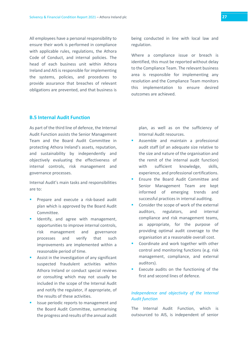All employees have a personal responsibility to ensure their work is performed in compliance with applicable rules, regulations, the Athora Code of Conduct, and internal policies. The head of each business unit within Athora Ireland and AIS is responsible for implementing the systems, policies, and procedures to provide assurance that breaches of relevant obligations are prevented, and that business is being conducted in line with local law and regulation.

Where a compliance issue or breach is identified, this must be reported without delay to the Compliance Team. The relevant business area is responsible for implementing any resolution and the Compliance Team monitors this implementation to ensure desired outcomes are achieved.

# <span id="page-26-0"></span>**B.5 Internal Audit Function**

As part of the third line of defence, the Internal Audit Function assists the Senior Management Team and the Board Audit Committee in protecting Athora Ireland's assets, reputation, and sustainability by independently and objectively evaluating the effectiveness of internal controls, risk management and governance processes.

Internal Audit's main tasks and responsibilities are to:

- Prepare and execute a risk-based audit plan which is approved by the Board Audit Committee.
- Identify, and agree with management, opportunities to improve internal controls, risk management and governance processes and verify that such improvements are implemented within a reasonable period of time.
- Assist in the investigation of any significant suspected fraudulent activities within Athora Ireland or conduct special reviews or consulting which may not usually be included in the scope of the Internal Audit and notify the regulator, if appropriate, of the results of these activities.
- Issue periodic reports to management and the Board Audit Committee, summarising the progress and results of the annual audit

plan, as well as on the sufficiency of Internal Audit resources.

- Assemble and maintain a professional audit staff (of an adequate size relative to the size and nature of the organisation and the remit of the internal audit function) with sufficient knowledge, skills, experience, and professional certifications.
- Ensure the Board Audit Committee and Senior Management Team are kept informed of emerging trends and successful practices in internal auditing.
- Consider the scope of work of the external auditors, regulators, and internal compliance and risk management teams, as appropriate, for the purpose of providing optimal audit coverage to the organisation at a reasonable overall cost.
- Coordinate and work together with other control and monitoring functions (e.g. risk management, compliance, and external auditors).
- **Execute audits on the functioning of the** first and second lines of defence.

# *Independence and objectivity of the Internal Audit function*

The Internal Audit Function, which is outsourced to AIS, is independent of senior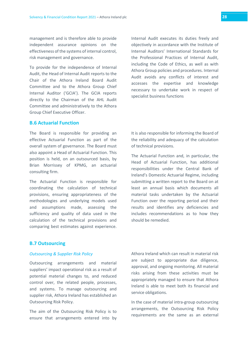management and is therefore able to provide independent assurance opinions on the effectiveness of the systems of internal control, risk management and governance.

To provide for the independence of Internal Audit, the Head of Internal Audit reports to the Chair of the Athora Ireland Board Audit Committee and to the Athora Group Chief Internal Auditor ('GCIA'). The GCIA reports directly to the Chairman of the AHL Audit Committee and administratively to the Athora Group Chief Executive Officer.

### <span id="page-27-0"></span>**B.6 Actuarial Function**

The Board is responsible for providing an effective Actuarial Function as part of the overall system of governance. The Board must also appoint a Head of Actuarial Function. This position is held, on an outsourced basis, by Brian Morrissey of KPMG, an actuarial consulting firm.

The Actuarial Function is responsible for coordinating the calculation of technical provisions, ensuring appropriateness of the methodologies and underlying models used and assumptions made, assessing the sufficiency and quality of data used in the calculation of the technical provisions and comparing best estimates against experience.

Internal Audit executes its duties freely and objectively in accordance with the Institute of Internal Auditors' International Standards for the Professional Practices of Internal Audit, including the Code of Ethics, as well as with Athora Group policies and procedures. Internal Audit avoids any conflicts of interest and accesses the expertise and knowledge necessary to undertake work in respect of specialist business functions

It is also responsible for informing the Board of the reliability and adequacy of the calculation of technical provisions.

The Actuarial Function and, in particular, the Head of Actuarial Function, has additional responsibilities under the Central Bank of Ireland's Domestic Actuarial Regime, including submitting a written report to the Board on at least an annual basis which documents all material tasks undertaken by the Actuarial Function over the reporting period and their results and identifies any deficiencies and includes recommendations as to how they should be remedied.

# <span id="page-27-1"></span>**B.7 Outsourcing**

#### *Outsourcing & Supplier Risk Policy*

Outsourcing arrangements and material suppliers' impact operational risk as a result of potential material changes to, and reduced control over, the related people, processes, and systems. To manage outsourcing and supplier risk, Athora Ireland has established an Outsourcing Risk Policy.

The aim of the Outsourcing Risk Policy is to ensure that arrangements entered into by Athora Ireland which can result in material risk are subject to appropriate due diligence, approval, and ongoing monitoring. All material risks arising from these activities must be appropriately managed to ensure that Athora Ireland is able to meet both its financial and service obligations.

In the case of material intra-group outsourcing arrangements, the Outsourcing Risk Policy requirements are the same as an external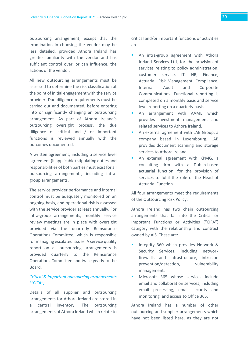outsourcing arrangement, except that the examination in choosing the vendor may be less detailed, provided Athora Ireland has greater familiarity with the vendor and has sufficient control over, or can influence, the actions of the vendor.

All new outsourcing arrangements must be assessed to determine the risk classification at the point of initial engagement with the service provider. Due diligence requirements must be carried out and documented, before entering into or significantly changing an outsourcing arrangement. As part of Athora Ireland's outsourcing oversight process, the due diligence of critical and / or important functions is reviewed annually with the outcomes documented.

A written agreement, including a service level agreement (if applicable) stipulating duties and responsibilities of both parties must exist for all outsourcing arrangements, including intragroup arrangements.

The service provider performance and internal control must be adequately monitored on an ongoing basis, and operational risk is assessed with the service provider at least annually. For intra-group arrangements, monthly service review meetings are in place with oversight provided via the quarterly Reinsurance Operations Committee, which is responsible for managing escalated issues. A service quality report on all outsourcing arrangements is provided quarterly to the Reinsurance Operations Committee and twice yearly to the Board.

# *Critical & Important outsourcing arrangements ("CIFA")*

Details of all supplier and outsourcing arrangements for Athora Ireland are stored in central inventory. The outsourcing arrangements of Athora Ireland which relate to critical and/or important functions or activities are:

- An intra-group agreement with Athora Ireland Services Ltd, for the provision of services relating to policy administration, customer service, IT, HR, Finance, Actuarial, Risk Management, Compliance, Internal Audit and Corporate Communications. Functional reporting is completed on a monthly basis and service level reporting on a quarterly basis.
- An arrangement with AAME which provides investment management and related services to Athora Ireland.
- An external agreement with LAB Group, a company based in Luxembourg. LAB provides document scanning and storage services to Athora Ireland.
- An external agreement with KPMG, a consulting firm with a Dublin-based actuarial function, for the provision of services to fulfil the role of the Head of Actuarial Function.

All four arrangements meet the requirements of the Outsourcing Risk Policy.

Athora Ireland has two chain outsourcing arrangements that fall into the Critical or Important Functions or Activities ("CIFA") category with the relationship and contract owned by AIS. These are:

- Integrity 360 which provides Network & Security Services, including network firewalls and infrastructure, intrusion prevention/detection, vulnerability management.
- Microsoft 365 whose services include email and collaboration services, including email processing, email security and monitoring, and access to Office 365.

Athora Ireland has a number of other outsourcing and supplier arrangements which have not been listed here, as they are not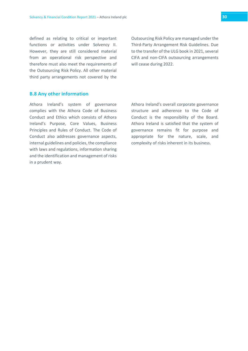defined as relating to critical or important functions or activities under Solvency II. However, they are still considered material from an operational risk perspective and therefore must also meet the requirements of the Outsourcing Risk Policy. All other material third party arrangements not covered by the Outsourcing Risk Policy are managed under the Third-Party Arrangement Risk Guidelines. Due to the transfer of the ULG book in 2021, several CIFA and non-CIFA outsourcing arrangements will cease during 2022.

#### <span id="page-29-0"></span>**B.8 Any other information**

Athora Ireland's system of governance complies with the Athora Code of Business Conduct and Ethics which consists of Athora Ireland's Purpose, Core Values, Business Principles and Rules of Conduct. The Code of Conduct also addresses governance aspects, internal guidelines and policies, the compliance with laws and regulations, information sharing and the identification and management of risks in a prudent way.

Athora Ireland's overall corporate governance structure and adherence to the Code of Conduct is the responsibility of the Board. Athora Ireland is satisfied that the system of governance remains fit for purpose and appropriate for the nature, scale, and complexity of risks inherent in its business.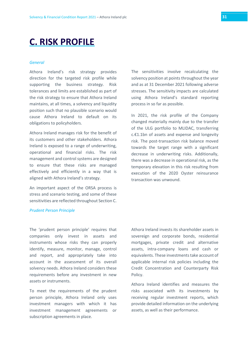# <span id="page-30-0"></span>**C. RISK PROFILE**

#### *General*

Athora Ireland's risk strategy provides direction for the targeted risk profile while supporting the business strategy. Risk tolerances and limits are established as part of the risk strategy to ensure that Athora Ireland maintains, at all times, a solvency and liquidity position such that no plausible scenario would cause Athora Ireland to default on its obligations to policyholders.

Athora Ireland manages risk for the benefit of its customers and other stakeholders. Athora Ireland is exposed to a range of underwriting, operational and financial risks. The risk management and control systems are designed to ensure that these risks are managed effectively and efficiently in a way that is aligned with Athora Ireland's strategy.

An important aspect of the ORSA process is stress and scenario testing, and some of these sensitivities are reflected throughout Section C.

# The sensitivities involve recalculating the solvency position at points throughout the year and as at 31 December 2021 following adverse stresses. The sensitivity impacts are calculated using Athora Ireland's standard reporting process in so far as possible.

In 2021, the risk profile of the Company changed materially mainly due to the transfer of the ULG portfolio to MLIDAC, transferring c.€1.1bn of assets and expense and longevity risk. The post-transaction risk balance moved towards the target range with a significant decrease in underwriting risks. Additionally, there was a decrease in operational risk, as the temporary elevation in this risk resulting from execution of the 2020 Oyster reinsurance transaction was unwound.

#### *Prudent Person Principle*

The 'prudent person principle' requires that companies only invest in assets and instruments whose risks they can properly identify, measure, monitor, manage, control and report, and appropriately take into account in the assessment of its overall solvency needs. Athora Ireland considers these requirements before any investment in new assets or instruments.

To meet the requirements of the prudent person principle, Athora Ireland only uses investment managers with which it has investment management agreements or subscription agreements in place.

Athora Ireland invests its shareholder assets in sovereign and corporate bonds, residential mortgages, private credit and alternative assets, intra-company loans and cash or equivalents. These investments take account of applicable internal risk policies including the Credit Concentration and Counterparty Risk Policy.

Athora Ireland identifies and measures the risks associated with its investments by receiving regular investment reports, which provide detailed information on the underlying assets, as well as their performance.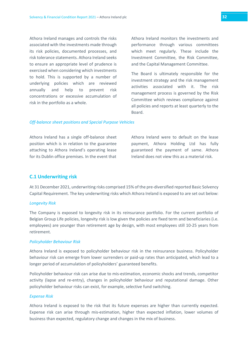Athora Ireland manages and controls the risks associated with the investments made through its risk policies, documented processes, and risk tolerance statements. Athora Ireland seeks to ensure an appropriate level of prudence is exercised when considering which investments to hold. This is supported by a number of underlying policies which are reviewed annually and help to prevent risk concentrations or excessive accumulation of risk in the portfolio as a whole.

Athora Ireland monitors the investments and performance through various committees which meet regularly. These include the Investment Committee, the Risk Committee, and the Capital Management Committee.

The Board is ultimately responsible for the investment strategy and the risk management activities associated with it. The risk management process is governed by the Risk Committee which reviews compliance against all policies and reports at least quarterly to the Board.

#### *Off-balance sheet positions and Special Purpose Vehicles*

Athora Ireland has a single off-balance sheet position which is in relation to the guarantee attaching to Athora Ireland's operating lease for its Dublin office premises. In the event that

Athora Ireland were to default on the lease payment, Athora Holding Ltd has fully guaranteed the payment of same. Athora Ireland does not view this as a material risk.

#### <span id="page-31-0"></span>**C.1 Underwriting risk**

At 31 December 2021, underwriting risks comprised 15% of the pre-diversified reported Basic Solvency Capital Requirement. The key underwriting risks which Athora Ireland is exposed to are set out below:

#### *Longevity Risk*

The Company is exposed to longevity risk in its reinsurance portfolio. For the current portfolio of Belgian Group Life policies, longevity risk is low given the policies are fixed term and beneficiaries (i.e. employees) are younger than retirement age by design, with most employees still 10-25 years from retirement.

#### *Policyholder Behaviour Risk*

Athora Ireland is exposed to policyholder behaviour risk in the reinsurance business. Policyholder behaviour risk can emerge from lower surrenders or paid-up rates than anticipated, which lead to a longer period of accumulation of policyholders' guaranteed benefits.

Policyholder behaviour risk can arise due to mis-estimation, economic shocks and trends, competitor activity (lapse and re-entry), changes in policyholder behaviour and reputational damage. Other policyholder behaviour risks can exist, for example, selective fund switching.

#### *Expense Risk*

Athora Ireland is exposed to the risk that its future expenses are higher than currently expected. Expense risk can arise through mis-estimation, higher than expected inflation, lower volumes of business than expected, regulatory change and changes in the mix of business.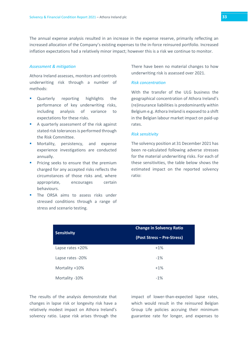The annual expense analysis resulted in an increase in the expense reserve, primarily reflecting an increased allocation of the Company's existing expenses to the in-force reinsured portfolio. Increased inflation expectations had a relatively minor impact; however this is a risk we continue to monitor.

#### *Assessment & mitigation*

Athora Ireland assesses, monitors and controls underwriting risk through a number of methods:

- Quarterly reporting highlights the performance of key underwriting risks, including analysis of variance to expectations for these risks.
- A quarterly assessment of the risk against stated risk tolerances is performed through the Risk Committee.
- **Mortality, persistency, and expense** experience investigations are conducted annually.
- **Pricing seeks to ensure that the premium** charged for any accepted risks reflects the circumstances of those risks and, where appropriate, encourages certain behaviours.
- **The ORSA aims to assess risks under** stressed conditions through a range of stress and scenario testing.

There have been no material changes to how underwriting risk is assessed over 2021.

#### *Risk concentration*

With the transfer of the ULG business the geographical concentration of Athora Ireland's (re)insurance liabilities is predominantly within Belgium e.g. Athora Ireland is exposed to a shift in the Belgian labour market impact on paid-up rates.

#### *Risk sensitivity*

The solvency position at 31 December 2021 has been re-calculated following adverse stresses for the material underwriting risks. For each of these sensitivities, the table below shows the estimated impact on the reported solvency ratio:

|                    | <b>Change in Solvency Ratio</b> |
|--------------------|---------------------------------|
| <b>Sensitivity</b> | (Post Stress – Pre-Stress)      |
| Lapse rates +20%   | $+1%$                           |
| Lapse rates -20%   | $-1\%$                          |
| Mortality +10%     | $+1%$                           |
| Mortality -10%     | $-1\%$                          |

The results of the analysis demonstrate that changes in lapse risk or longevity risk have a relatively modest impact on Athora Ireland's solvency ratio. Lapse risk arises through the impact of lower-than-expected lapse rates, which would result in the reinsured Belgian Group Life policies accruing their minimum guarantee rate for longer, and expenses to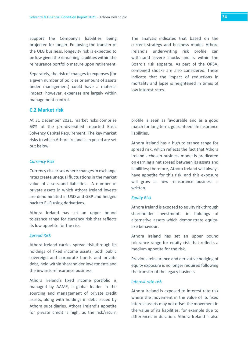support the Company's liabilities being projected for longer. Following the transfer of the ULG business, longevity risk is expected to be low given the remaining liabilities within the reinsurance portfolio mature upon retirement.

Separately, the risk of changes to expenses (for a given number of policies or amount of assets under management) could have a material impact; however, expenses are largely within management control.

#### <span id="page-33-0"></span>**C.2 Market risk**

At 31 December 2021, market risks comprise 63% of the pre-diversified reported Basic Solvency Capital Requirement. The key market risks to which Athora Ireland is exposed are set out below:

#### *Currency Risk*

Currency risk arises where changes in exchange rates create unequal fluctuations in the market value of assets and liabilities. A number of private assets in which Athora Ireland invests are denominated in USD and GBP and hedged back to EUR using derivatives.

Athora Ireland has set an upper bound tolerance range for currency risk that reflects its low appetite for the risk.

#### *Spread Risk*

Athora Ireland carries spread risk through its holdings of fixed income assets, both public sovereign and corporate bonds and private debt, held within shareholder investments and the inwards reinsurance business.

Athora Ireland's fixed income portfolio is managed by AAME, a global leader in the sourcing and management of private credit assets, along with holdings in debt issued by Athora subsidiaries. Athora Ireland's appetite for private credit is high, as the risk/return The analysis indicates that based on the current strategy and business model, Athora Ireland's underwriting risk profile can withstand severe shocks and is within the Board's risk appetite. As part of the ORSA, combined shocks are also considered. These indicate that the impact of reductions in mortality and lapse is heightened in times of low interest rates.

profile is seen as favourable and as a good match for long term, guaranteed life insurance liabilities.

Athora Ireland has a high tolerance range for spread risk, which reflects the fact that Athora Ireland's chosen business model is predicated on earning a net spread between its assets and liabilities; therefore, Athora Ireland will always have appetite for this risk, and this exposure will grow as new reinsurance business is written.

#### *Equity Risk*

Athora Ireland is exposed to equity risk through shareholder investments in holdings of alternative assets which demonstrate equitylike behaviour.

Athora Ireland has set an upper bound tolerance range for equity risk that reflects a medium appetite for the risk.

Previous reinsurance and derivative hedging of equity exposure is no longer required following the transfer of the legacy business.

#### *Interest rate risk*

Athora Ireland is exposed to interest rate risk where the movement in the value of its fixed interest assets may not offset the movement in the value of its liabilities, for example due to differences in duration. Athora Ireland is also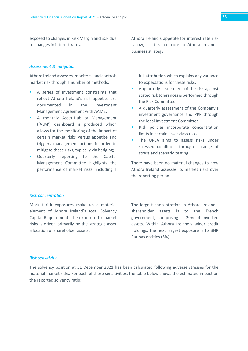exposed to changes in Risk Margin and SCR due to changes in interest rates.

#### *Assessment & mitigation*

Athora Ireland assesses, monitors, and controls market risk through a number of methods:

- A series of investment constraints that reflect Athora Ireland's risk appetite are documented in the Investment Management Agreement with AAME;
- A monthly Asset-Liability Management ('ALM') dashboard is produced which allows for the monitoring of the impact of certain market risks versus appetite and triggers management actions in order to mitigate these risks, typically via hedging;
- **Quarterly reporting to the Capital** Management Committee highlights the performance of market risks, including a

Athora Ireland's appetite for interest rate risk is low, as it is not core to Athora Ireland's business strategy.

full attribution which explains any variance to expectations for these risks;

- A quarterly assessment of the risk against stated risk tolerances is performed through the Risk Committee;
- A quarterly assessment of the Company's investment governance and PPP through the local Investment Committee
- Risk policies incorporate concentration limits in certain asset class risks;
- The ORSA aims to assess risks under stressed conditions through a range of stress and scenario testing.

There have been no material changes to how Athora Ireland assesses its market risks over the reporting period.

#### *Risk concentration*

Market risk exposures make up a material element of Athora Ireland's total Solvency Capital Requirement. The exposure to market risks is driven primarily by the strategic asset allocation of shareholder assets.

The largest concentration in Athora Ireland's shareholder assets is to the French government, comprising c. 20% of invested assets. Within Athora Ireland's wider credit holdings, the next largest exposure is to BNP Paribas entities (5%).

#### *Risk sensitivity*

The solvency position at 31 December 2021 has been calculated following adverse stresses for the material market risks. For each of these sensitivities, the table below shows the estimated impact on the reported solvency ratio: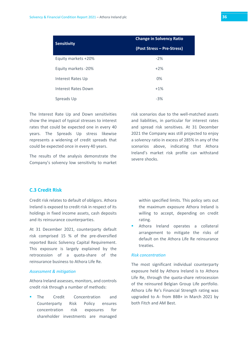|                     | <b>Change in Solvency Ratio</b> |
|---------------------|---------------------------------|
| <b>Sensitivity</b>  | (Post Stress – Pre-Stress)      |
| Equity markets +20% | $-2%$                           |
| Equity markets -20% | $+2%$                           |
| Interest Rates Up   | 0%                              |
| Interest Rates Down | $+1%$                           |
| Spreads Up          | $-3%$                           |

The Interest Rate Up and Down sensitivities show the impact of typical stresses to interest rates that could be expected one in every 40 years. The Spreads Up stress likewise represents a widening of credit spreads that could be expected once in every 40 years.

The results of the analysis demonstrate the Company's solvency low sensitivity to market

risk scenarios due to the well-matched assets and liabilities, in particular for interest rates and spread risk sensitives. At 31 December 2021 the Company was still projected to enjoy a solvency ratio in excess of 285% in any of the scenarios above, indicating that Athora Ireland's market risk profile can withstand severe shocks.

# <span id="page-35-0"></span>**C.3 Credit Risk**

Credit risk relates to default of obligors. Athora Ireland is exposed to credit risk in respect of its holdings in fixed income assets, cash deposits and its reinsurance counterparties.

At 31 December 2021, counterparty default risk comprised 15 % of the pre-diversified reported Basic Solvency Capital Requirement. This exposure is largely explained by the retrocession of a quota-share of the reinsurance business to Athora Life Re.

#### *Assessment & mitigation*

Athora Ireland assesses, monitors, and controls credit risk through a number of methods:

 The Credit Concentration and Counterparty Risk Policy ensures concentration risk exposures for shareholder investments are managed within specified limits. This policy sets out the maximum exposure Athora Ireland is willing to accept, depending on credit rating.

 Athora Ireland operates a collateral arrangement to mitigate the risks of default on the Athora Life Re reinsurance treaties.

#### *Risk concentration*

The most significant individual counterparty exposure held by Athora Ireland is to Athora Life Re, through the quota-share retrocession of the reinsured Belgian Group Life portfolio. Athora Life Re's Financial Strength rating was upgraded to A- from BBB+ in March 2021 by both Fitch and AM Best.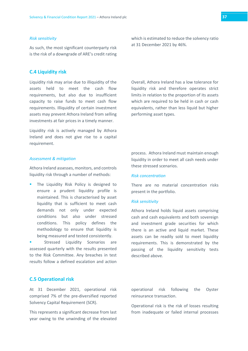#### *Risk sensitivity*

As such, the most significant counterparty risk is the risk of a downgrade of ARE's credit rating

# <span id="page-36-0"></span>**C.4 Liquidity risk**

Liquidity risk may arise due to illiquidity of the assets held to meet the cash flow requirements, but also due to insufficient capacity to raise funds to meet cash flow requirements. Illiquidity of certain investment assets may prevent Athora Ireland from selling investments at fair prices in a timely manner.

Liquidity risk is actively managed by Athora Ireland and does not give rise to a capital requirement.

#### *Assessment & mitigation*

Athora Ireland assesses, monitors, and controls liquidity risk through a number of methods:

 The Liquidity Risk Policy is designed to ensure a prudent liquidity profile is maintained. This is characterised by asset liquidity that is sufficient to meet cash demands not only under expected conditions but also under stressed conditions. This policy defines the methodology to ensure that liquidity is being measured and tested consistently.

 Stressed Liquidity Scenarios are assessed quarterly with the results presented to the Risk Committee. Any breaches in test results follow a defined escalation and action which is estimated to reduce the solvency ratio at 31 December 2021 by 46%.

Overall, Athora Ireland has a low tolerance for liquidity risk and therefore operates strict limits in relation to the proportion of its assets which are required to be held in cash or cash equivalents, rather than less liquid but higher performing asset types.

process. Athora Ireland must maintain enough liquidity in order to meet all cash needs under these stressed scenarios.

#### *Risk concentration*

There are no material concentration risks present in the portfolio.

#### *Risk sensitivity*

Athora Ireland holds liquid assets comprising cash and cash equivalents and both sovereign and investment grade securities for which there is an active and liquid market. These assets can be readily sold to meet liquidity requirements. This is demonstrated by the passing of the liquidity sensitivity tests described above.

#### <span id="page-36-1"></span>**C.5 Operational risk**

At 31 December 2021, operational risk comprised 7% of the pre-diversified reported Solvency Capital Requirement (SCR).

This represents a significant decrease from last year owing to the unwinding of the elevated operational risk following the Oyster reinsurance transaction.

Operational risk is the risk of losses resulting from inadequate or failed internal processes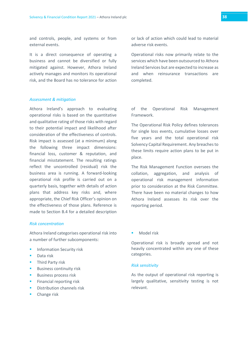and controls, people, and systems or from external events.

It is a direct consequence of operating a business and cannot be diversified or fully mitigated against. However, Athora Ireland actively manages and monitors its operational risk, and the Board has no tolerance for action

#### *Assessment & mitigation*

Athora Ireland's approach to evaluating operational risks is based on the quantitative and qualitative rating of those risks with regard to their potential impact and likelihood after consideration of the effectiveness of controls. Risk impact is assessed (at a minimum) along the following three impact dimensions: financial loss, customer & reputation, and financial misstatement. The resulting ratings reflect the uncontrolled (residual) risk the business area is running. A forward-looking operational risk profile is carried out on a quarterly basis, together with details of action plans that address key risks and, where appropriate, the Chief Risk Officer's opinion on the effectiveness of those plans. Reference is made to Section B.4 for a detailed description

#### *Risk concentration*

Athora Ireland categorises operational risk into a number of further subcomponents:

- Information Security risk
- Data risk
- Third Party risk
- Business continuity risk
- Business process risk
- Financial reporting risk
- Distribution channels risk
- Change risk

or lack of action which could lead to material adverse risk events.

Operational risks now primarily relate to the services which have been outsourced to Athora Ireland Services but are expected to increase as and when reinsurance transactions are completed.

of the Operational Risk Management Framework.

The Operational Risk Policy defines tolerances for single loss events, cumulative losses over five years and the total operational risk Solvency Capital Requirement. Any breaches to these limits require action plans to be put in place.

The Risk Management Function oversees the collation, aggregation, and analysis of operational risk management information prior to consideration at the Risk Committee. There have been no material changes to how Athora Ireland assesses its risk over the reporting period.

Model risk

Operational risk is broadly spread and not heavily concentrated within any one of these categories.

#### *Risk sensitivity*

As the output of operational risk reporting is largely qualitative, sensitivity testing is not relevant.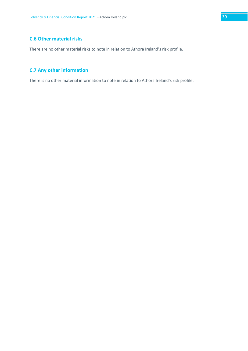# <span id="page-38-0"></span>**C.6 Other material risks**

There are no other material risks to note in relation to Athora Ireland's risk profile.

# <span id="page-38-1"></span>**C.7 Any other information**

There is no other material information to note in relation to Athora Ireland's risk profile.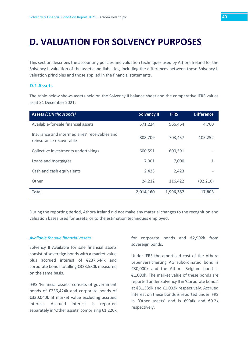# <span id="page-39-0"></span>**D. VALUATION FOR SOLVENCY PURPOSES**

This section describes the accounting policies and valuation techniques used by Athora Ireland for the Solvency II valuation of the assets and liabilities, including the differences between these Solvency II valuation principles and those applied in the financial statements.

# <span id="page-39-1"></span>**D.1 Assets**

The table below shows assets held on the Solvency II balance sheet and the comparative IFRS values as at 31 December 2021:

| <b>Assets (EUR thousands)</b>                                            | <b>Solvency II</b> | <b>IFRS</b> | <b>Difference</b> |
|--------------------------------------------------------------------------|--------------------|-------------|-------------------|
| Available-for-sale financial assets                                      | 571,224            | 566,464     | 4,760             |
| Insurance and intermediaries' receivables and<br>reinsurance recoverable | 808,709            | 703,457     | 105,252           |
| Collective investments undertakings                                      | 600,591            | 600,591     |                   |
| Loans and mortgages                                                      | 7,001              | 7,000       | 1                 |
| Cash and cash equivalents                                                | 2,423              | 2,423       |                   |
| Other                                                                    | 24,212             | 116,422     | (92, 210)         |
| <b>Total</b>                                                             | 2,014,160          | 1,996,357   | 17,803            |

During the reporting period, Athora Ireland did not make any material changes to the recognition and valuation bases used for assets, or to the estimation techniques employed.

#### *Available for sale financial assets*

Solvency II Available for sale financial assets consist of sovereign bonds with a market value plus accrued interest of €237,644k and corporate bonds totalling €333,580k measured on the same basis.

IFRS 'Financial assets' consists of government bonds of €236,424k and corporate bonds of €330,040k at market value excluding accrued interest. Accrued interest is reported separately in 'Other assets' comprising €1,220k for corporate bonds and €2,992k from sovereign bonds.

Under IFRS the amortised cost of the Athora Lebenversicherung AG subordinated bond is €30,000k and the Athora Belgium bond is €1,000k. The market value of these bonds are reported under Solvency II in 'Corporate bonds' at €31,539k and €1,003k respectively. Accrued interest on these bonds is reported under IFRS in 'Other assets' and is €994k and €0.2k respectively.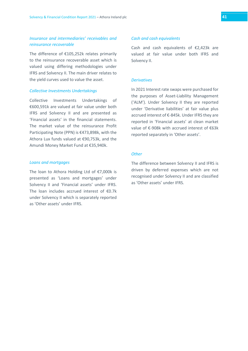# *Insurance and intermediaries' receivables and reinsurance recoverable*

The difference of €105,252k relates primarily to the reinsurance recoverable asset which is valued using differing methodologies under IFRS and Solvency II. The main driver relates to the yield curves used to value the asset.

#### *Collective Investments Undertakings*

Collective Investments Undertakings of €600,591k are valued at fair value under both IFRS and Solvency II and are presented as 'Financial assets' in the financial statements. The market value of the reinsurance Profit Participating Note (PPN) is €473,898k, with the Athora Lux funds valued at €90,753k, and the Amundi Money Market Fund at €35,940k.

#### *Loans and mortgages*

The loan to Athora Holding Ltd of €7,000k is presented as 'Loans and mortgages' under Solvency II and 'Financial assets' under IFRS. The loan includes accrued interest of €0.7k under Solvency II which is separately reported as 'Other assets' under IFRS.

#### *Cash and cash equivalents*

Cash and cash equivalents of €2,423k are valued at fair value under both IFRS and Solvency II.

#### *Derivatives*

In 2021 Interest rate swaps were purchased for the purposes of Asset-Liability Management ('ALM'). Under Solvency II they are reported under 'Derivative liabilities' at fair value plus accrued interest of €-845k. Under IFRS they are reported in 'Financial assets' at clean market value of €-908k with accrued interest of €63k reported separately in 'Other assets'.

### *Other*

The difference between Solvency II and IFRS is driven by deferred expenses which are not recognised under Solvency II and are classified as 'Other assets' under IFRS.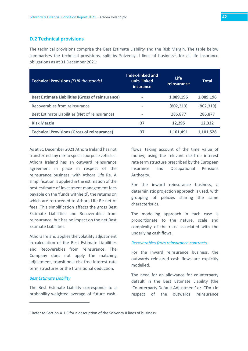# <span id="page-41-0"></span>**D.2 Technical provisions**

The technical provisions comprise the Best Estimate Liability and the Risk Margin. The table below summarises the technical provisions, split by Solvency II lines of business<sup>[1](#page-41-1)</sup>, for all life insurance obligations as at 31 December 2021:

| <b>Technical Provisions (EUR thousands)</b>             | Index-linked and<br>unit-linked<br>insurance | <b>Life</b><br>reinsurance | Total      |
|---------------------------------------------------------|----------------------------------------------|----------------------------|------------|
| <b>Best Estimate Liabilities (Gross of reinsurance)</b> |                                              | 1,089,196                  | 1,089,196  |
| Recoverables from reinsurance                           |                                              | (802, 319)                 | (802, 319) |
| Best Estimate Liabilities (Net of reinsurance)          | $\overline{\phantom{0}}$                     | 286,877                    | 286,877    |
| <b>Risk Margin</b>                                      | 37                                           | 12,295                     | 12,332     |
| <b>Technical Provisions (Gross of reinsurance)</b>      | 37                                           | 1,101,491                  | 1,101,528  |

As at 31 December 2021 Athora Ireland has not transferred any risk to special purpose vehicles. Athora Ireland has an outward reinsurance agreement in place in respect of the reinsurance business, with Athora Life Re. A simplification is applied in the estimation of the best estimate of investment management fees payable on the 'funds withheld', the returns on which are retroceded to Athora Life Re net of fees. This simplification affects the gross Best Estimate Liabilities and Recoverables from reinsurance, but has no impact on the net Best Estimate Liabilities.

Athora Ireland applies the volatility adjustment in calculation of the Best Estimate Liabilities and Recoverables from reinsurance. The Company does not apply the matching adjustment, transitional risk-free interest rate term structures or the transitional deduction.

#### *Best Estimate Liability*

The Best Estimate Liability corresponds to a probability-weighted average of future cashflows, taking account of the time value of money, using the relevant risk-free interest rate term structure prescribed by the European Insurance and Occupational Pensions Authority.

For the inward reinsurance business, a deterministic projection approach is used, with grouping of policies sharing the same characteristics.

The modelling approach in each case is proportionate to the nature, scale and complexity of the risks associated with the underlying cash flows.

#### *Recoverables from reinsurance contracts*

For the inward reinsurance business, the outwards reinsured cash flows are explicitly modelled.

The need for an allowance for counterparty default in the Best Estimate Liability (the 'Counterparty Default Adjustment' or 'CDA') in respect of the outwards reinsurance

<span id="page-41-1"></span><sup>&</sup>lt;sup>1</sup> Refer to Section A.1.6 for a description of the Solvency II lines of business.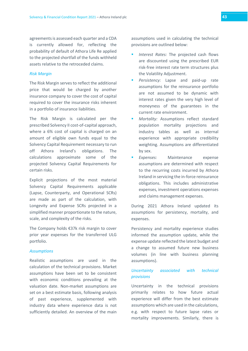agreements is assessed each quarter and a CDA is currently allowed for, reflecting the probability of default of Athora Life Re applied to the projected shortfall of the funds withheld assets relative to the retroceded claims.

#### *Risk Margin*

The Risk Margin serves to reflect the additional price that would be charged by another insurance company to cover the cost of capital required to cover the insurance risks inherent in a portfolio of insurance liabilities.

The Risk Margin is calculated per the prescribed Solvency II cost-of-capital approach, where a 6% cost of capital is charged on an amount of eligible own funds equal to the Solvency Capital Requirement necessary to run off Athora Ireland's obligations. The calculations approximate some of the projected Solvency Capital Requirements for certain risks.

Explicit projections of the most material Solvency Capital Requirements applicable (Lapse, Counterparty, and Operational SCRs) are made as part of the calculation, with Longevity and Expense SCRs projected in a simplified manner proportionate to the nature, scale, and complexity of the risks.

The Company holds €37k risk margin to cover prior year expenses for the transferred ULG portfolio.

#### *Assumptions*

Realistic assumptions are used in the calculation of the technical provisions. Market assumptions have been set to be consistent with economic conditions prevailing at the valuation date. Non-market assumptions are set on a best estimate basis, following analysis of past experience, supplemented with industry data where experience data is not sufficiently detailed. An overview of the main assumptions used in calculating the technical provisions are outlined below:

- *Interest Rates:* The projected cash flows are discounted using the prescribed EUR risk-free interest rate term structures plus the Volatility Adjustment.
- *Persistency:* Lapse and paid-up rate assumptions for the reinsurance portfolio are not assumed to be dynamic with interest rates given the very high level of moneyness of the guarantees in the current rate environment.
- *Mortality:* Assumptions reflect standard population mortality projections and industry tables as well as internal experience with appropriate credibility weighting. Assumptions are differentiated by sex.
- *Expenses:* Maintenance expense assumptions are determined with respect to the recurring costs incurred by Athora Ireland in servicing the in-force reinsurance obligations. This includes administrative expenses, investment operations expenses and claims management expenses.

During 2021 Athora Ireland updated its assumptions for persistency, mortality, and expenses.

Persistency and mortality experience studies informed the assumption update, while the expense update reflected the latest budget and a change to assumed future new business volumes (in line with business planning assumptions).

# *Uncertainty associated with technical provisions*

Uncertainty in the technical provisions primarily relates to how future actual experience will differ from the best estimate assumptions which are used in the calculations, e.g. with respect to future lapse rates or mortality improvements. Similarly, there is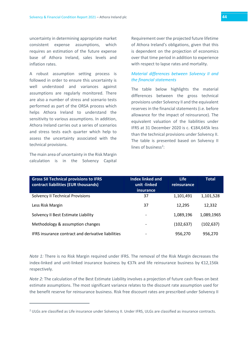uncertainty in determining appropriate market consistent expense assumptions, which requires an estimation of the future expense base of Athora Ireland, sales levels and inflation rates.

A robust assumption setting process is followed in order to ensure this uncertainty is well understood and variances against assumptions are regularly monitored. There are also a number of stress and scenario tests performed as part of the ORSA process which helps Athora Ireland to understand the sensitivity to various assumptions. In addition, Athora Ireland carries out a series of scenarios and stress tests each quarter which help to assess the uncertainty associated with the technical provisions.

The main area of uncertainty in the Risk Margin calculation is in the Solvency Capital Requirement over the projected future lifetime of Athora Ireland's obligations, given that this is dependent on the projection of economics over that time period in addition to experience with respect to lapse rates and mortality.

# *Material differences between Solvency II and the financial statements*

The table below highlights the material differences between the gross technical provisions under Solvency II and the equivalent reserves in the financial statements (i.e. before allowance for the impact of reinsurance). The equivalent valuation of the liabilities under IFRS at 31 December 2020 is c. €184,645k less than the technical provisions under Solvency II. The table is presented based on Solvency II lines of business<sup>[2](#page-43-0)</sup>:

| <b>Gross SII Technical provisions to IFRS</b><br>contract liabilities (EUR thousands) | <b>Index linked and</b><br>unit -linked<br>insurance | <b>Life</b><br>reinsurance | <b>Total</b> |
|---------------------------------------------------------------------------------------|------------------------------------------------------|----------------------------|--------------|
| <b>Solvency II Technical Provisions</b>                                               | 37                                                   | 1,101,491                  | 1,101,528    |
| Less Risk Margin                                                                      | 37                                                   | 12,295                     | 12,332       |
| Solvency II Best Estimate Liability                                                   | $\qquad \qquad$                                      | 1,089,196                  | 1,089,1965   |
| Methodology & assumption changes                                                      |                                                      | (102, 637)                 | (102, 637)   |
| IFRS insurance contract and derivative liabilities                                    |                                                      | 956,270                    | 956,270      |

*Note 1:* There is no Risk Margin required under IFRS. The removal of the Risk Margin decreases the index-linked and unit-linked insurance business by €37k and life reinsurance business by €12,156k respectively.

*Note 2:* The calculation of the Best Estimate Liability involves a projection of future cash flows on best estimate assumptions. The most significant variance relates to the discount rate assumption used for the benefit reserve for reinsurance business. Risk free discount rates are prescribed under Solvency II

<span id="page-43-0"></span><sup>&</sup>lt;sup>2</sup> ULGs are classified as Life insurance under Solvency II. Under IFRS, ULGs are classified as insurance contracts.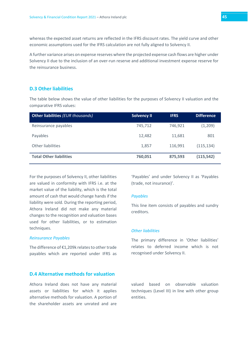whereas the expected asset returns are reflected in the IFRS discount rates. The yield curve and other economic assumptions used for the IFRS calculation are not fully aligned to Solvency II.

A further variance arises on expense reserves where the projected expense cash flows are higher under Solvency II due to the inclusion of an over-run reserve and additional investment expense reserve for the reinsurance business.

# <span id="page-44-0"></span>**D.3 Other liabilities**

The table below shows the value of other liabilities for the purposes of Solvency II valuation and the comparative IFRS values:

| Other liabilities (EUR thousands) | <b>Solvency II</b> | <b>IFRS</b> | <b>Difference</b> |
|-----------------------------------|--------------------|-------------|-------------------|
| Reinsurance payables              | 745.712            | 746,921     | (1,209)           |
| Payables                          | 12.482             | 11,681      | 801               |
| Other liabilities                 | 1,857              | 116,991     | (115, 134)        |
| <b>Total Other liabilities</b>    | 760,051            | 875,593     | (115, 542)        |

For the purposes of Solvency II, other liabilities are valued in conformity with IFRS i.e. at the market value of the liability, which is the total amount of cash that would change hands if the liability were sold. During the reporting period, Athora Ireland did not make any material changes to the recognition and valuation bases used for other liabilities, or to estimation techniques.

#### *Reinsurance Payables*

The difference of €1,209k relates to other trade payables which are reported under IFRS as

# <span id="page-44-1"></span>**D.4 Alternative methods for valuation**

Athora Ireland does not have any material assets or liabilities for which it applies alternative methods for valuation. A portion of the shareholder assets are unrated and are

'Payables' and under Solvency II as 'Payables (trade, not insurance)'.

#### *Payables*

This line item consists of payables and sundry creditors.

#### *Other liabilities*

The primary difference in 'Other liabilities' relates to deferred income which is not recognised under Solvency II.

valued based on observable valuation techniques (Level III) in line with other group entities.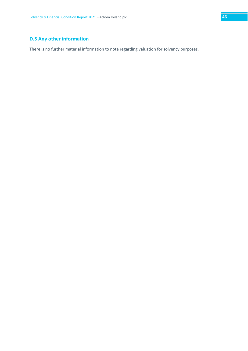# <span id="page-45-0"></span>**D.5 Any other information**

There is no further material information to note regarding valuation for solvency purposes.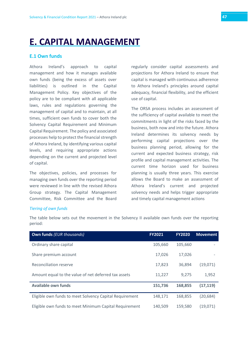# <span id="page-46-0"></span>**E. CAPITAL MANAGEMENT**

# <span id="page-46-1"></span>**E.1 Own funds**

Athora Ireland's approach to capital management and how it manages available own funds (being the excess of assets over liabilities) is outlined in the Capital Management Policy. Key objectives of the policy are to be compliant with all applicable laws, rules and regulations governing the management of capital and to maintain, at all times, sufficient own funds to cover both the Solvency Capital Requirement and Minimum Capital Requirement. The policy and associated processes help to protect the financial strength of Athora Ireland, by identifying various capital levels, and requiring appropriate actions depending on the current and projected level of capital.

The objectives, policies, and processes for managing own funds over the reporting period were reviewed in line with the revised Athora Group strategy. The Capital Management Committee, Risk Committee and the Board

regularly consider capital assessments and projections for Athora Ireland to ensure that capital is managed with continuous adherence to Athora Ireland's principles around capital adequacy, financial flexibility, and the efficient use of capital.

The ORSA process includes an assessment of the sufficiency of capital available to meet the commitments in light of the risks faced by the business, both now and into the future. Athora Ireland determines its solvency needs by performing capital projections over the business planning period, allowing for the current and expected business strategy, risk profile and capital management activities. The current time horizon used for business planning is usually three years. This exercise allows the Board to make an assessment of Athora Ireland's current and projected solvency needs and helps trigger appropriate and timely capital management actions

# *Tiering of own funds*

The table below sets out the movement in the Solvency II available own funds over the reporting period:

| <b>Own funds (EUR thousands)</b>                        | <b>FY2021</b> | <b>FY2020</b> | <b>Movement</b> |
|---------------------------------------------------------|---------------|---------------|-----------------|
| Ordinary share capital                                  | 105,660       | 105,660       |                 |
| Share premium account                                   | 17,026        | 17,026        |                 |
| Reconciliation reserve                                  | 17,823        | 36,894        | (19,071)        |
| Amount equal to the value of net deferred tax assets    | 11,227        | 9.275         | 1,952           |
| <b>Available own funds</b>                              | 151,736       | 168,855       | (17, 119)       |
| Eligible own funds to meet Solvency Capital Requirement | 148,171       | 168.855       | (20, 684)       |
| Eligible own funds to meet Minimum Capital Requirement  | 140,509       | 159,580       | (19,071)        |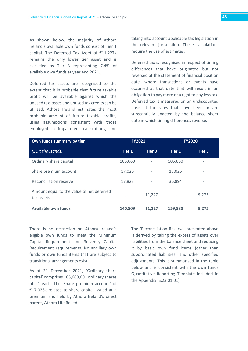As shown below, the majority of Athora Ireland's available own funds consist of Tier 1 capital. The Deferred Tax Asset of €11,227k remains the only lower tier asset and is classified as Tier 3 representing 7.4% of available own funds at year end 2021.

Deferred tax assets are recognised to the extent that it is probable that future taxable profit will be available against which the unused tax losses and unused tax credits can be utilised. Athora Ireland estimates the most probable amount of future taxable profits, using assumptions consistent with those employed in impairment calculations, and taking into account applicable tax legislation in the relevant jurisdiction. These calculations require the use of estimates.

Deferred tax is recognised in respect of timing differences that have originated but not reversed at the statement of financial position date, where transactions or events have occurred at that date that will result in an obligation to pay more or a right to pay less tax. Deferred tax is measured on an undiscounted basis at tax rates that have been or are substantially enacted by the balance sheet date in which timing differences reverse.

| Own funds summary by tier                               | <b>FY2021</b>            |        | <b>FY2020</b>            |                          |
|---------------------------------------------------------|--------------------------|--------|--------------------------|--------------------------|
| (EUR thousands)                                         | <b>Tier 1</b>            | Tier 3 | Tier 1                   | Tier 3                   |
| Ordinary share capital                                  | 105,660                  | -      | 105,660                  | $\overline{\phantom{a}}$ |
| Share premium account                                   | 17,026                   | ٠      | 17,026                   | $\overline{\phantom{a}}$ |
| Reconciliation reserve                                  | 17,823                   | ٠      | 36.894                   | $\overline{\phantom{a}}$ |
| Amount equal to the value of net deferred<br>tax assets | $\overline{\phantom{a}}$ | 11,227 | $\overline{\phantom{a}}$ | 9,275                    |
| <b>Available own funds</b>                              | 140,509                  | 11,227 | 159,580                  | 9,275                    |

There is no restriction on Athora Ireland's eligible own funds to meet the Minimum Capital Requirement and Solvency Capital Requirement requirements. No ancillary own funds or own funds items that are subject to transitional arrangements exist.

As at 31 December 2021, 'Ordinary share capital' comprises 105,660,001 ordinary shares of €1 each. The 'Share premium account' of €17,026k related to share capital issued at a premium and held by Athora Ireland's direct parent, Athora Life Re Ltd.

The 'Reconciliation Reserve' presented above is derived by taking the excess of assets over liabilities from the balance sheet and reducing it by basic own fund items (other than subordinated liabilities) and other specified adjustments. This is summarised in the table below and is consistent with the own funds Quantitative Reporting Template included in the Appendix (S.23.01.01).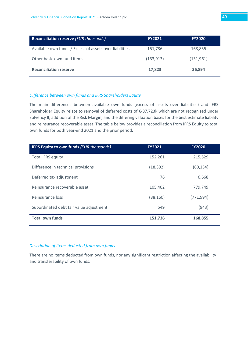| Reconciliation reserve (EUR thousands)                  | <b>FY2021</b> | <b>FY2020</b> |
|---------------------------------------------------------|---------------|---------------|
| Available own funds / Excess of assets over liabilities | 151,736       | 168,855       |
| Other basic own fund items                              | (133, 913)    | (131,961)     |
| <b>Reconciliation reserve</b>                           | 17,823        | 36,894        |

#### *Difference between own funds and IFRS Shareholders Equity*

The main differences between available own funds (excess of assets over liabilities) and IFRS Shareholder Equity relate to removal of deferred costs of €-87,723k which are not recognised under Solvency II, addition of the Risk Margin, and the differing valuation bases for the best estimate liability and reinsurance recoverable asset. The table below provides a reconciliation from IFRS Equity to total own funds for both year-end 2021 and the prior period.

| <b>IFRS Equity to own funds (EUR thousands)</b> | <b>FY2021</b> | <b>FY2020</b> |
|-------------------------------------------------|---------------|---------------|
| <b>Total IFRS equity</b>                        | 152,261       | 215,529       |
| Difference in technical provisions              | (18, 392)     | (60, 154)     |
| Deferred tax adjustment                         | 76            | 6,668         |
| Reinsurance recoverable asset                   | 105,402       | 779,749       |
| Reinsurance loss                                | (88, 160)     | (771, 994)    |
| Subordinated debt fair value adjustment         | 549           | (943)         |
| <b>Total own funds</b>                          | 151,736       | 168,855       |

#### *Description of items deducted from own funds*

There are no items deducted from own funds, nor any significant restriction affecting the availability and transferability of own funds.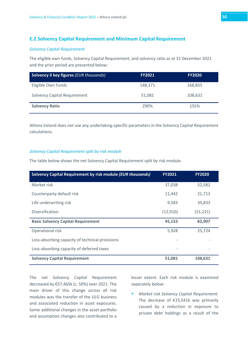# <span id="page-49-0"></span>**E.2 Solvency Capital Requirement and Minimum Capital Requirement**

#### *Solvency Capital Requirement*

The eligible own funds, Solvency Capital Requirement, and solvency ratio as at 31 December 2021 and the prior period are presented below:

| <b>Solvency II key figures (EUR thousands)</b> | <b>FY2021</b> | <b>FY2020</b> |
|------------------------------------------------|---------------|---------------|
| Eligible Own Funds                             | 148,171       | 168,855       |
| <b>Solvency Capital Requirement</b>            | 51,081        | 108,631       |
| <b>Solvency Ratio</b>                          | 290%          | 155%          |

Athora Ireland does not use any undertaking-specific parameters in the Solvency Capital Requirement calculations.

#### *Solvency Capital Requirement split by risk module*

The table below shows the net Solvency Capital Requirement split by risk module.

| Solvency Capital Requirement by risk module (EUR thousands) | <b>FY2021</b> | <b>FY2020</b> |
|-------------------------------------------------------------|---------------|---------------|
| Market risk                                                 | 37,038        | 52,582        |
| Counterparty default risk                                   | 11,442        | 21,713        |
| Life underwriting risk                                      | 9,583         | 39,833        |
| Diversification                                             | (12,910)      | (31, 221)     |
| <b>Basic Solvency Capital Requirement</b>                   | 45,153        | 82,907        |
| Operational risk                                            | 5,928         | 25,724        |
| Loss-absorbing capacity of technical provisions             |               |               |
| Loss-absorbing capacity of deferred taxes                   |               |               |
| <b>Solvency Capital Requirement</b>                         | 51,081        | 108,631       |

The net Solvency Capital Requirement decreased by €57,465k (c. 50%) over 2021. The main driver of this change across all risk modules was the transfer of the ULG business and associated reduction in asset exposures. Some additional changes in the asset portfolio and assumption changes also contributed to a lesser extent. Each risk module is examined separately below:

 *Market risk Solvency Capital Requirement:* The decrease of €15,541k was primarily caused by a reduction in exposure to private debt holdings as a result of the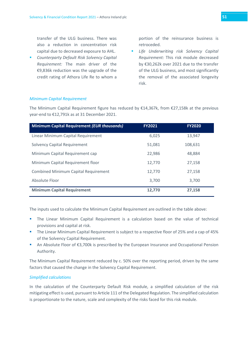transfer of the ULG business. There was also a reduction in concentration risk capital due to decreased exposure to AHL.

 *Counterparty Default Risk Solvency Capital Requirement:* The main driver of the €9,836k reduction was the upgrade of the credit rating of Athora Life Re to whom a

portion of the reinsurance business is retroceded.

 *Life Underwriting risk Solvency Capital Requirement:* This risk module decreased by €30,262k over 2021 due to the transfer of the ULG business, and most significantly the removal of the associated longevity risk.

#### *Minimum Capital Requirement*

The Minimum Capital Requirement figure has reduced by €14,367k, from €27,158k at the previous year-end to €12,791k as at 31 December 2021.

| <b>Minimum Capital Requirement (EUR thousands)</b> | <b>FY2021</b> | <b>FY2020</b> |
|----------------------------------------------------|---------------|---------------|
| Linear Minimum Capital Requirement                 | 6,025         | 13,947        |
| <b>Solvency Capital Requirement</b>                | 51,081        | 108,631       |
| Minimum Capital Requirement cap                    | 22,986        | 48,884        |
| Minimum Capital Requirement floor                  | 12.770        | 27,158        |
| <b>Combined Minimum Capital Requirement</b>        | 12.770        | 27,158        |
| Absolute Floor                                     | 3,700         | 3,700         |
| <b>Minimum Capital Requirement</b>                 | 12.770        | 27,158        |

The inputs used to calculate the Minimum Capital Requirement are outlined in the table above:

- The Linear Minimum Capital Requirement is a calculation based on the value of technical provisions and capital at risk.
- The Linear Minimum Capital Requirement is subject to a respective floor of 25% and a cap of 45% of the Solvency Capital Requirement.
- An Absolute Floor of €3,700k is prescribed by the European Insurance and Occupational Pension Authority.

The Minimum Capital Requirement reduced by c. 50% over the reporting period, driven by the same factors that caused the change in the Solvency Capital Requirement.

#### *Simplified calculations*

In the calculation of the Counterparty Default Risk module, a simplified calculation of the risk mitigating effect is used, pursuant to Article 111 of the Delegated Regulation. The simplified calculation is proportionate to the nature, scale and complexity of the risks faced for this risk module.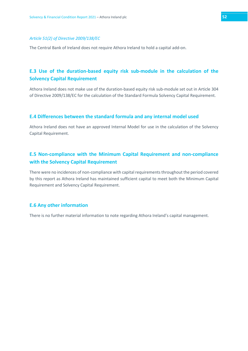#### *Article 51(2) of Directive 2009/138/EC*

The Central Bank of Ireland does not require Athora Ireland to hold a capital add-on.

# <span id="page-51-0"></span>**E.3 Use of the duration-based equity risk sub-module in the calculation of the Solvency Capital Requirement**

Athora Ireland does not make use of the duration-based equity risk sub-module set out in Article 304 of Directive 2009/138/EC for the calculation of the Standard Formula Solvency Capital Requirement.

# <span id="page-51-1"></span>**E.4 Differences between the standard formula and any internal model used**

Athora Ireland does not have an approved Internal Model for use in the calculation of the Solvency Capital Requirement.

# <span id="page-51-2"></span>**E.5 Non-compliance with the Minimum Capital Requirement and non-compliance with the Solvency Capital Requirement**

There were no incidences of non-compliance with capital requirements throughout the period covered by this report as Athora Ireland has maintained sufficient capital to meet both the Minimum Capital Requirement and Solvency Capital Requirement.

#### <span id="page-51-3"></span>**E.6 Any other information**

There is no further material information to note regarding Athora Ireland's capital management.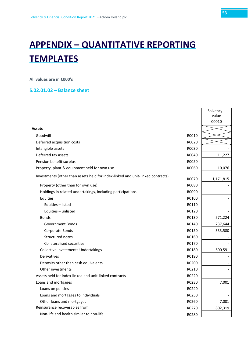# <span id="page-52-0"></span>**APPENDIX – QUANTITATIVE REPORTING TEMPLATES**

**All values are in €000's** 

# <span id="page-52-1"></span>**S.02.01.02 – Balance sheet**

|                                                                                 |       | Solvency II |
|---------------------------------------------------------------------------------|-------|-------------|
|                                                                                 |       | value       |
|                                                                                 |       | C0010       |
| <b>Assets</b>                                                                   |       |             |
| Goodwill                                                                        | R0010 |             |
| Deferred acquisition costs                                                      | R0020 |             |
| Intangible assets                                                               | R0030 |             |
| Deferred tax assets                                                             | R0040 | 11,227      |
| Pension benefit surplus                                                         | R0050 |             |
| Property, plant & equipment held for own use                                    | R0060 | 10,076      |
| Investments (other than assets held for index-linked and unit-linked contracts) | R0070 | 1,171,815   |
| Property (other than for own use)                                               | R0080 |             |
| Holdings in related undertakings, including participations                      | R0090 |             |
| Equities                                                                        | R0100 |             |
| Equities - listed                                                               | R0110 |             |
| Equities - unlisted                                                             | R0120 |             |
| <b>Bonds</b>                                                                    | R0130 | 571,224     |
| Government Bonds                                                                | R0140 | 237,644     |
| Corporate Bonds                                                                 | R0150 | 333,580     |
| Structured notes                                                                | R0160 |             |
| <b>Collateralised securities</b>                                                | R0170 |             |
| <b>Collective Investments Undertakings</b>                                      | R0180 | 600,591     |
| Derivatives                                                                     | R0190 |             |
| Deposits other than cash equivalents                                            | R0200 |             |
| Other investments                                                               | R0210 |             |
| Assets held for index-linked and unit-linked contracts                          | R0220 |             |
| Loans and mortgages                                                             | R0230 | 7,001       |
| Loans on policies                                                               | R0240 |             |
| Loans and mortgages to individuals                                              | R0250 |             |
| Other loans and mortgages                                                       | R0260 | 7,001       |
| Reinsurance recoverables from:                                                  | R0270 | 802,319     |
| Non-life and health similar to non-life                                         | R0280 |             |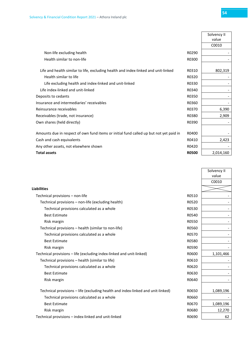|                                                                                        |              | Solvency II<br>value |
|----------------------------------------------------------------------------------------|--------------|----------------------|
|                                                                                        |              | C0010                |
| Non-life excluding health                                                              | R0290        |                      |
| Health similar to non-life                                                             | R0300        |                      |
| Life and health similar to life, excluding health and index-linked and unit-linked     | R0310        | 802,319              |
| Health similar to life                                                                 | R0320        |                      |
| Life excluding health and index-linked and unit-linked                                 | R0330        |                      |
| Life index-linked and unit-linked                                                      | R0340        |                      |
| Deposits to cedants                                                                    | R0350        |                      |
| Insurance and intermediaries' receivables                                              | R0360        |                      |
| Reinsurance receivables                                                                | R0370        | 6,390                |
| Receivables (trade, not insurance)                                                     | R0380        | 2,909                |
| Own shares (held directly)                                                             | R0390        |                      |
| Amounts due in respect of own fund items or initial fund called up but not yet paid in | R0400        |                      |
| Cash and cash equivalents                                                              | R0410        | 2,423                |
| Any other assets, not elsewhere shown                                                  | R0420        |                      |
| <b>Total assets</b>                                                                    | <b>R0500</b> | 2,014,160            |

|                                                                                 |       | Solvency II |
|---------------------------------------------------------------------------------|-------|-------------|
|                                                                                 |       | value       |
|                                                                                 |       | C0010       |
| <b>Liabilities</b>                                                              |       |             |
| Technical provisions - non-life                                                 | R0510 |             |
| Technical provisions - non-life (excluding health)                              | R0520 |             |
| Technical provisions calculated as a whole                                      | R0530 |             |
| <b>Best Estimate</b>                                                            | R0540 |             |
| Risk margin                                                                     | R0550 |             |
| Technical provisions - health (similar to non-life)                             | R0560 |             |
| Technical provisions calculated as a whole                                      | R0570 |             |
| <b>Best Estimate</b>                                                            | R0580 |             |
| Risk margin                                                                     | R0590 |             |
| Technical provisions - life (excluding index-linked and unit-linked)            | R0600 | 1,101,466   |
| Technical provisions - health (similar to life)                                 | R0610 |             |
| Technical provisions calculated as a whole                                      | R0620 |             |
| <b>Best Estimate</b>                                                            | R0630 |             |
| Risk margin                                                                     | R0640 |             |
|                                                                                 |       |             |
| Technical provisions – life (excluding health and index-linked and unit-linked) | R0650 | 1,089,196   |
| Technical provisions calculated as a whole                                      | R0660 |             |
| <b>Best Estimate</b>                                                            | R0670 | 1,089,196   |
| Risk margin                                                                     | R0680 | 12,270      |
| Technical provisions – index-linked and unit-linked                             | R0690 | 62          |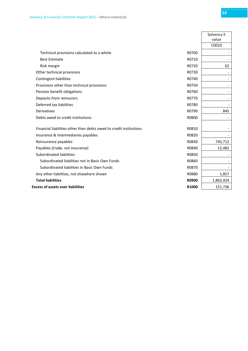|                                                                    |              | Solvency II              |
|--------------------------------------------------------------------|--------------|--------------------------|
|                                                                    |              | value                    |
|                                                                    |              | C0010                    |
| Technical provisions calculated as a whole                         | R0700        |                          |
| <b>Best Estimate</b>                                               | R0710        |                          |
| Risk margin                                                        | R0720        | 62                       |
| Other technical provisions                                         | R0730        |                          |
| Contingent liabilities                                             | R0740        | $\overline{\phantom{a}}$ |
| Provisions other than technical provisions                         | R0750        | $\overline{\phantom{a}}$ |
| Pension benefit obligations                                        | R0760        | $\overline{\phantom{a}}$ |
| Deposits from reinsurers                                           | R0770        | $\overline{\phantom{a}}$ |
| Deferred tax liabilities                                           | R0780        |                          |
| <b>Derivatives</b>                                                 | R0790        | 845                      |
| Debts owed to credit institutions                                  | R0800        |                          |
|                                                                    |              |                          |
| Financial liabilities other than debts owed to credit institutions | R0810        |                          |
| Insurance & intermediaries payables                                | R0820        | $\overline{\phantom{0}}$ |
| Reinsurance payables                                               | R0830        | 745,712                  |
| Payables (trade, not insurance)                                    | R0840        | 12,482                   |
| Subordinated liabilities                                           | R0850        |                          |
| Subordinated liabilities not in Basic Own Funds                    | R0860        |                          |
| Subordinated liabilities in Basic Own Funds                        | R0870        |                          |
| Any other liabilities, not elsewhere shown                         | R0880        | 1,857                    |
| <b>Total liabilities</b>                                           | <b>R0900</b> | 1,862,424                |
| <b>Excess of assets over liabilities</b>                           | R1000        | 151,736                  |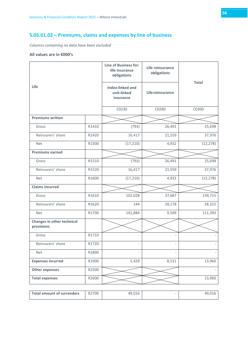# <span id="page-55-0"></span>**S.05.01.02 – Premiums, claims and expenses by line of business**

*Columns containing no data have been excluded*

| Life                                     |       | Line of Business for:<br>life insurance<br>obligations | Life reinsurance<br>obligations | <b>Total</b> |  |
|------------------------------------------|-------|--------------------------------------------------------|---------------------------------|--------------|--|
|                                          |       | <b>Index-linked and</b><br>unit-linked<br>insurance    | Life-reinsurance                |              |  |
|                                          |       | C0230                                                  | C0280                           | C0300        |  |
| <b>Premiums written</b>                  |       |                                                        |                                 |              |  |
| Gross                                    | R1410 | (793)                                                  | 26,491                          | 25,698       |  |
| Reinsurers' share                        | R1420 | 16,417                                                 | 21,559                          | 37,976       |  |
| <b>Net</b>                               | R1500 | (17, 210)                                              | 4,932                           | (12, 278)    |  |
| <b>Premiums earned</b>                   |       |                                                        |                                 |              |  |
| Gross                                    | R1510 | (793)                                                  | 26,491                          | 25,698       |  |
| Reinsurers' share                        | R1520 | 16,417                                                 | 21,559                          | 37,976       |  |
| <b>Net</b>                               | R1600 | (17, 210)                                              | 4,932                           | (12, 278)    |  |
| <b>Claims incurred</b>                   |       |                                                        |                                 |              |  |
| Gross                                    | R1610 | 102,028                                                | 37,687                          | 139,715      |  |
| Reinsurers' share                        | R1620 | 144                                                    | 28,178                          | 28,322       |  |
| <b>Net</b>                               | R1700 | 101,884                                                | 9,509                           | 111,393      |  |
| Changes in other technical<br>provisions |       |                                                        |                                 |              |  |
| Gross                                    | R1710 |                                                        |                                 |              |  |
| Reinsurers' share                        | R1720 |                                                        |                                 |              |  |
| Net                                      | R1800 |                                                        |                                 |              |  |
| <b>Expenses incurred</b>                 | R1900 | 5,429                                                  | 8,531                           | 13,960       |  |
| <b>Other expenses</b>                    | R2500 |                                                        |                                 |              |  |
| <b>Total expenses</b>                    | R2600 |                                                        |                                 | 13,960       |  |
|                                          |       |                                                        |                                 |              |  |

| Total amount of surrenders | R2700 | 49,016 | 49.01 <sup>7</sup> |
|----------------------------|-------|--------|--------------------|
|                            |       |        |                    |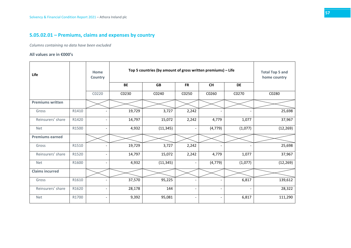# **S.05.02.01 – Premiums, claims and expenses by country**

*Columns containing no data have been excluded*

<span id="page-56-0"></span>

| <b>Life</b>             |       | Home<br>Country          |           | Top 5 countries (by amount of gross written premiums) - Life |                          |                          |         |           |  |  |
|-------------------------|-------|--------------------------|-----------|--------------------------------------------------------------|--------------------------|--------------------------|---------|-----------|--|--|
|                         |       |                          | <b>BE</b> | <b>GB</b>                                                    | <b>FR</b>                | <b>CH</b>                | DE      |           |  |  |
|                         |       | C0220                    | C0230     | C0240                                                        | C0250                    | C0260                    | C0270   | C0280     |  |  |
| <b>Premiums written</b> |       |                          |           |                                                              |                          |                          |         |           |  |  |
| Gross                   | R1410 |                          | 19,729    | 3,727                                                        | 2,242                    |                          |         | 25,698    |  |  |
| Reinsurers' share       | R1420 |                          | 14,797    | 15,072                                                       | 2,242                    | 4,779                    | 1,077   | 37,967    |  |  |
| <b>Net</b>              | R1500 | $\overline{\phantom{a}}$ | 4,932     | (11, 345)                                                    |                          | (4, 779)                 | (1,077) | (12, 269) |  |  |
| <b>Premiums earned</b>  |       |                          |           |                                                              |                          |                          |         |           |  |  |
| Gross                   | R1510 | $\overline{\phantom{0}}$ | 19,729    | 3,727                                                        | 2,242                    |                          |         | 25,698    |  |  |
| Reinsurers' share       | R1520 |                          | 14,797    | 15,072                                                       | 2,242                    | 4,779                    | 1,077   | 37,967    |  |  |
| <b>Net</b>              | R1600 | $\overline{\phantom{a}}$ | 4,932     | (11, 345)                                                    | $\overline{\phantom{0}}$ | (4, 779)                 | (1,077) | (12, 269) |  |  |
| <b>Claims incurred</b>  |       |                          |           |                                                              |                          |                          |         |           |  |  |
| Gross                   | R1610 |                          | 37,570    | 95,225                                                       |                          |                          | 6,817   | 139,612   |  |  |
| Reinsurers' share       | R1620 | $\overline{\phantom{a}}$ | 28,178    | 144                                                          | $\overline{\phantom{a}}$ | $\overline{\phantom{a}}$ |         | 28,322    |  |  |
| <b>Net</b>              | R1700 |                          | 9,392     | 95,081                                                       |                          |                          | 6,817   | 111,290   |  |  |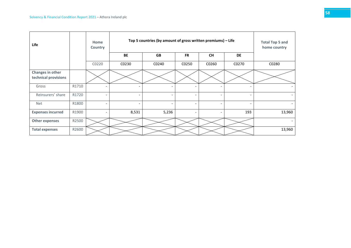| Life                                     |       | Home<br>Country          |                              | Top 5 countries (by amount of gross written premiums) - Life |                          |                          |                          |                          |  |  |  |
|------------------------------------------|-------|--------------------------|------------------------------|--------------------------------------------------------------|--------------------------|--------------------------|--------------------------|--------------------------|--|--|--|
|                                          |       |                          | <b>BE</b>                    | <b>GB</b>                                                    | <b>FR</b>                | <b>CH</b>                | <b>DE</b>                |                          |  |  |  |
|                                          |       | C0220                    | C0230                        | C0240                                                        | C0250                    | C0260                    | C0270                    | C0280                    |  |  |  |
| Changes in other<br>technical provisions |       |                          |                              |                                                              |                          |                          |                          |                          |  |  |  |
| Gross                                    | R1710 |                          |                              | $\overline{\phantom{0}}$                                     |                          |                          |                          |                          |  |  |  |
| Reinsurers' share                        | R1720 | $\overline{\phantom{0}}$ | $\qquad \qquad \blacksquare$ | $\overline{\phantom{a}}$                                     | $\overline{\phantom{a}}$ | $\overline{\phantom{0}}$ | $\overline{\phantom{a}}$ | $\overline{\phantom{a}}$ |  |  |  |
| <b>Net</b>                               | R1800 | $\overline{\phantom{a}}$ | $\overline{\phantom{a}}$     | $\overline{\phantom{a}}$                                     |                          | $\overline{\phantom{0}}$ | $\overline{\phantom{a}}$ | $\overline{\phantom{a}}$ |  |  |  |
| <b>Expenses incurred</b>                 | R1900 |                          | 8,531                        | 5,236                                                        |                          | $\overline{\phantom{0}}$ | 193                      | 13,960                   |  |  |  |
| <b>Other expenses</b>                    | R2500 |                          |                              |                                                              |                          |                          |                          | $\overline{\phantom{0}}$ |  |  |  |
| <b>Total expenses</b>                    | R2600 |                          |                              |                                                              |                          |                          |                          | 13,960                   |  |  |  |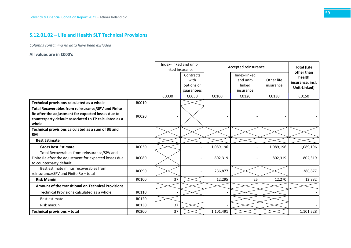# **S.12.01.02 – Life and Health SLT Technical Provisions**

*Columns containing no data have been excluded*

<span id="page-58-0"></span>

|                                                                                                                                                                                   |       | Index-linked and unit-<br>linked insurance |                                               | Accepted reinsurance |                                                  |                         | <b>Total (Life</b>                                       |
|-----------------------------------------------------------------------------------------------------------------------------------------------------------------------------------|-------|--------------------------------------------|-----------------------------------------------|----------------------|--------------------------------------------------|-------------------------|----------------------------------------------------------|
|                                                                                                                                                                                   |       |                                            | Contracts<br>with<br>options or<br>guarantees |                      | Index-linked<br>and unit-<br>linked<br>insurance | Other life<br>insurance | other than<br>health<br>insurance, incl.<br>Unit-Linked) |
|                                                                                                                                                                                   |       | C0030                                      | C0050                                         | C0100                | C0120                                            | C0130                   | C0150                                                    |
| Technical provisions calculated as a whole                                                                                                                                        | R0010 |                                            |                                               |                      |                                                  |                         |                                                          |
| <b>Total Recoverables from reinsurance/SPV and Finite</b><br>Re after the adjustment for expected losses due to<br>counterparty default associated to TP calculated as a<br>whole | R0020 |                                            |                                               |                      |                                                  |                         |                                                          |
| Technical provisions calculated as a sum of BE and<br><b>RM</b>                                                                                                                   |       |                                            |                                               |                      |                                                  |                         |                                                          |
| <b>Best Estimate</b>                                                                                                                                                              |       |                                            |                                               |                      |                                                  |                         |                                                          |
| <b>Gross Best Estimate</b>                                                                                                                                                        | R0030 |                                            |                                               | 1,089,196            |                                                  | 1,089,196               | 1,089,196                                                |
| Total Recoverables from reinsurance/SPV and<br>Finite Re after the adjustment for expected losses due<br>to counterparty default                                                  | R0080 |                                            |                                               | 802,319              |                                                  | 802,319                 | 802,319                                                  |
| Best estimate minus recoverables from<br>reinsurance/SPV and Finite Re - total                                                                                                    | R0090 |                                            |                                               | 286,877              |                                                  |                         | 286,877                                                  |
| <b>Risk Margin</b>                                                                                                                                                                | R0100 | 37                                         |                                               | 12,295               | 25                                               | 12,270                  | 12,332                                                   |
| <b>Amount of the transitional on Technical Provisions</b>                                                                                                                         |       |                                            |                                               |                      |                                                  |                         |                                                          |
| Technical Provisions calculated as a whole                                                                                                                                        | R0110 |                                            |                                               |                      |                                                  |                         |                                                          |
| Best estimate                                                                                                                                                                     | R0120 |                                            |                                               |                      |                                                  |                         |                                                          |
| Risk margin                                                                                                                                                                       | R0130 | 37                                         |                                               |                      |                                                  |                         |                                                          |
| Technical provisions - total                                                                                                                                                      | R0200 | 37                                         |                                               | 1,101,491            |                                                  |                         | 1,101,528                                                |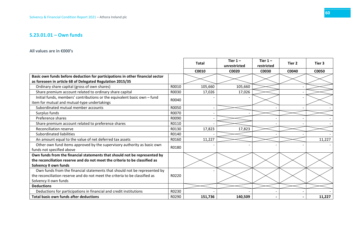# **S.23.01.01 – Own funds**

<span id="page-59-0"></span>

|                                                                               |       | <b>Total</b> | Tier $1-$<br>unrestricted | Tier $1-$<br>restricted | Tier 2 | Tier 3 |
|-------------------------------------------------------------------------------|-------|--------------|---------------------------|-------------------------|--------|--------|
|                                                                               |       | C0010        | C0020                     | C0030                   | C0040  | C0050  |
| Basic own funds before deduction for participations in other financial sector |       |              |                           |                         |        |        |
| as foreseen in article 68 of Delegated Regulation 2015/35                     |       |              |                           |                         |        |        |
| Ordinary share capital (gross of own shares)                                  | R0010 | 105,660      | 105,660                   |                         |        |        |
| Share premium account related to ordinary share capital                       | R0030 | 17,026       | 17,026                    |                         |        |        |
| Initial funds, members' contributions or the equivalent basic own - fund      | R0040 |              |                           |                         |        |        |
| item for mutual and mutual-type undertakings                                  |       |              |                           |                         |        |        |
| Subordinated mutual member accounts                                           | R0050 |              |                           |                         |        |        |
| Surplus funds                                                                 | R0070 |              |                           |                         |        |        |
| Preference shares                                                             | R0090 |              |                           |                         |        |        |
| Share premium account related to preference shares                            | R0110 |              |                           |                         |        |        |
| Reconciliation reserve                                                        | R0130 | 17,823       | 17,823                    |                         |        |        |
| Subordinated liabilities                                                      | R0140 |              |                           |                         |        |        |
| An amount equal to the value of net deferred tax assets                       | R0160 | 11,227       |                           |                         |        | 11,227 |
| Other own fund items approved by the supervisory authority as basic own       | R0180 |              |                           |                         |        |        |
| funds not specified above                                                     |       |              |                           |                         |        |        |
| Own funds from the financial statements that should not be represented by     |       |              |                           |                         |        |        |
| the reconciliation reserve and do not meet the criteria to be classified as   |       |              |                           |                         |        |        |
| Solvency II own funds                                                         |       |              |                           |                         |        |        |
| Own funds from the financial statements that should not be represented by     |       |              |                           |                         |        |        |
| the reconciliation reserve and do not meet the criteria to be classified as   | R0220 |              |                           |                         |        |        |
| Solvency II own funds                                                         |       |              |                           |                         |        |        |
| <b>Deductions</b>                                                             |       |              |                           |                         |        |        |
| Deductions for participations in financial and credit institutions            | R0230 |              |                           |                         |        |        |
| Total basic own funds after deductions                                        | R0290 | 151,736      | 140,509                   |                         |        | 11,227 |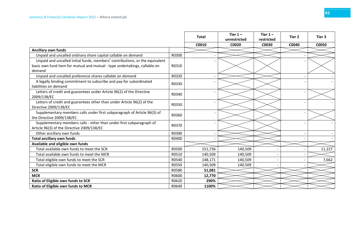|                                                                              |       | <b>Total</b> | Tier $1 -$   | Tier $1 -$ | Tier 2 | Tier 3 |
|------------------------------------------------------------------------------|-------|--------------|--------------|------------|--------|--------|
|                                                                              |       |              | unrestricted | restricted |        |        |
|                                                                              |       | C0010        | C0020        | C0030      | C0040  | C0050  |
| <b>Ancillary own funds</b>                                                   |       |              |              |            |        |        |
| Unpaid and uncalled ordinary share capital callable on demand                | R0300 |              |              |            |        |        |
| Unpaid and uncalled initial funds, members' contributions, or the equivalent |       |              |              |            |        |        |
| basic own fund item for mutual and mutual - type undertakings, callable on   | R0310 |              |              |            |        |        |
| demand                                                                       |       |              |              |            |        |        |
| Unpaid and uncalled preference shares callable on demand                     | R0320 |              |              |            |        |        |
| A legally binding commitment to subscribe and pay for subordinated           | R0330 |              |              |            |        |        |
| liabilities on demand                                                        |       |              |              |            |        |        |
| Letters of credit and guarantees under Article 96(2) of the Directive        | R0340 |              |              |            |        |        |
| 2009/138/EC                                                                  |       |              |              |            |        |        |
| Letters of credit and guarantees other than under Article 96(2) of the       | R0350 |              |              |            |        |        |
| Directive 2009/138/EC                                                        |       |              |              |            |        |        |
| Supplementary members calls under first subparagraph of Article 96(3) of     | R0360 |              |              |            |        |        |
| the Directive 2009/138/EC                                                    |       |              |              |            |        |        |
| Supplementary members calls - other than under first subparagraph of         | R0370 |              |              |            |        |        |
| Article 96(3) of the Directive 2009/138/EC                                   |       |              |              |            |        |        |
| Other ancillary own funds                                                    | R0390 |              |              |            |        |        |
| <b>Total ancillary own funds</b>                                             | R0400 |              |              |            |        |        |
| Available and eligible own funds                                             |       |              |              |            |        |        |
| Total available own funds to meet the SCR                                    | R0500 | 151,736      | 140,509      |            |        | 11,227 |
| Total available own funds to meet the MCR                                    | R0510 | 140,509      | 140,509      |            |        |        |
| Total eligible own funds to meet the SCR                                     | R0540 | 148,171      | 140,509      |            |        | 7,662  |
| Total eligible own funds to meet the MCR                                     | R0550 | 140,509      | 140,509      |            |        |        |
| <b>SCR</b>                                                                   | R0580 | 51,081       |              |            |        |        |
| <b>MCR</b>                                                                   | R0600 | 12,770       |              |            |        |        |
| Ratio of Eligible own funds to SCR                                           | R0620 | 290%         |              |            |        |        |
| Ratio of Eligible own funds to MCR                                           | R0640 | 1100%        |              |            |        |        |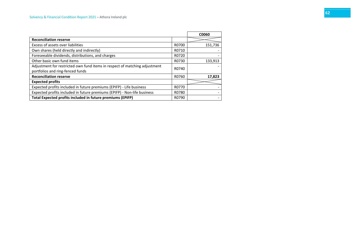|                                                                            |       | C0060   |
|----------------------------------------------------------------------------|-------|---------|
| <b>Reconciliation reserve</b>                                              |       |         |
| Excess of assets over liabilities                                          | R0700 | 151,736 |
| Own shares (held directly and indirectly)                                  | R0710 |         |
| Foreseeable dividends, distributions, and charges                          | R0720 |         |
| Other basic own fund items                                                 | R0730 | 133,913 |
| Adjustment for restricted own fund items in respect of matching adjustment | R0740 |         |
| portfolios and ring-fenced funds                                           |       |         |
| <b>Reconciliation reserve</b>                                              | R0760 | 17,823  |
| <b>Expected profits</b>                                                    |       |         |
| Expected profits included in future premiums (EPIFP) - Life business       | R0770 |         |
| Expected profits included in future premiums (EPIFP) - Non-life business   | R0780 |         |
| Total Expected profits included in future premiums (EPIFP)                 | R0790 |         |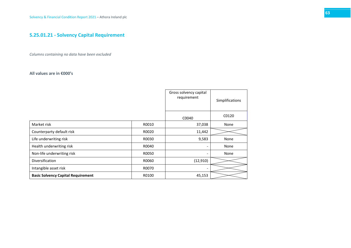# **S.25.01.21 - Solvency Capital Requirement**

*Columns containing no data have been excluded*

<span id="page-62-0"></span>

|                                           |       | Gross solvency capital<br>requirement | Simplifications |
|-------------------------------------------|-------|---------------------------------------|-----------------|
|                                           |       | C0040                                 | C0120           |
| Market risk                               | R0010 | 37,038                                | None            |
| Counterparty default risk                 | R0020 | 11,442                                |                 |
| Life underwriting risk                    | R0030 | 9,583                                 | None            |
| Health underwriting risk                  | R0040 |                                       | None            |
| Non-life underwriting risk                | R0050 |                                       | None            |
| Diversification                           | R0060 | (12, 910)                             |                 |
| Intangible asset risk                     | R0070 |                                       |                 |
| <b>Basic Solvency Capital Requirement</b> | R0100 | 45,153                                |                 |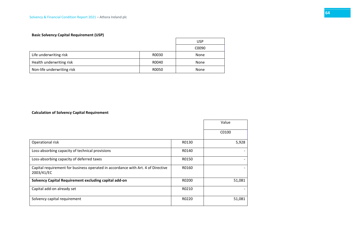# **Basic Solvency Capital Requirement (USP)**

|                            |       | USP   |
|----------------------------|-------|-------|
|                            |       | C0090 |
| Life underwriting risk     | R0030 | None  |
| Health underwriting risk   | R0040 | None  |
| Non-life underwriting risk | R0050 | None  |

### **Calculation of Solvency Capital Requirement**

|                                                                                                |       | Value  |
|------------------------------------------------------------------------------------------------|-------|--------|
|                                                                                                |       | C0100  |
| Operational risk                                                                               | R0130 | 5,928  |
| Loss-absorbing capacity of technical provisions                                                | R0140 |        |
| Loss-absorbing capacity of deferred taxes                                                      | R0150 |        |
| Capital requirement for business operated in accordance with Art. 4 of Directive<br>2003/41/EC | R0160 |        |
| Solvency Capital Requirement excluding capital add-on                                          | R0200 | 51,081 |
| Capital add-on already set                                                                     | R0210 |        |
| Solvency capital requirement                                                                   | R0220 | 51,081 |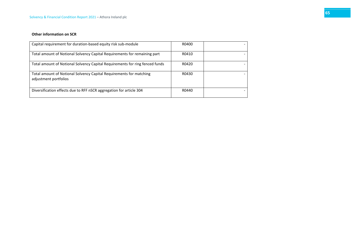#### **Other information on SCR**

| Capital requirement for duration-based equity risk sub-module                                | R0400 |  |
|----------------------------------------------------------------------------------------------|-------|--|
| Total amount of Notional Solvency Capital Requirements for remaining part                    | R0410 |  |
| Total amount of Notional Solvency Capital Requirements for ring fenced funds                 | R0420 |  |
| Total amount of Notional Solvency Capital Requirements for matching<br>adjustment portfolios | R0430 |  |
| Diversification effects due to RFF nSCR aggregation for article 304                          | R0440 |  |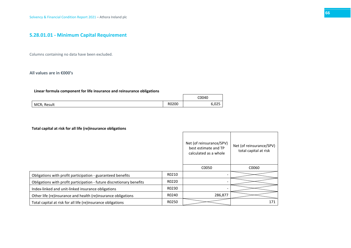# **S.28.01.01 - Minimum Capital Requirement**

Columns containing no data have been excluded.

#### **All values are in €000's**

#### **Linear formula component for life insurance and reinsurance obligations**

|             |       | C0040 |
|-------------|-------|-------|
| MCRL Result | R0200 | ت ے ت |

#### **Total capital at risk for all life (re)insurance obligations**

<span id="page-65-0"></span>

|                                                                       |       | Net (of reinsurance/SPV)<br>best estimate and TP<br>calculated as a whole | Net (of reinsurance/SPV)<br>total capital at risk |
|-----------------------------------------------------------------------|-------|---------------------------------------------------------------------------|---------------------------------------------------|
|                                                                       |       | C0050                                                                     | C0060                                             |
| Obligations with profit participation - guaranteed benefits           | R0210 |                                                                           |                                                   |
| Obligations with profit participation - future discretionary benefits | R0220 |                                                                           |                                                   |
| Index-linked and unit-linked insurance obligations                    | R0230 |                                                                           |                                                   |
| Other life (re)insurance and health (re)insurance obligations         | R0240 | 286,877                                                                   |                                                   |
| Total capital at risk for all life (re)insurance obligations          | R0250 |                                                                           | 171                                               |